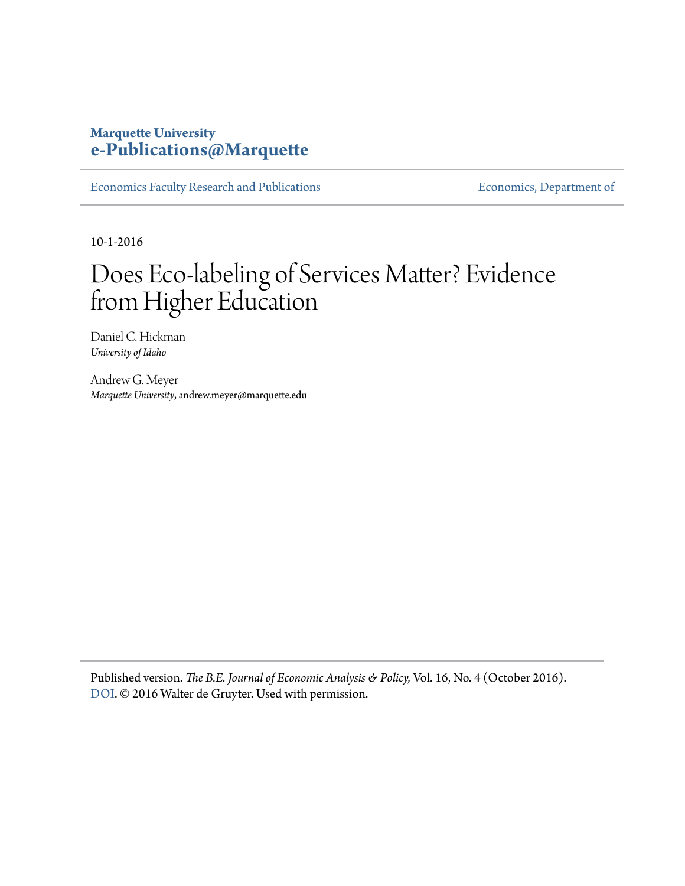# **Marquette University [e-Publications@Marquette](https://epublications.marquette.edu)**

[Economics Faculty Research and Publications](https://epublications.marquette.edu/econ_fac) **Economics**, Department of

10-1-2016

# Does Eco-labeling of Services Matter? Evidence from Higher Education

Daniel C. Hickman *University of Idaho*

Andrew G. Meyer *Marquette University*, andrew.meyer@marquette.edu

Published version. *The B.E. Journal of Economic Analysis & Policy,* Vol. 16, No. 4 (October 2016). [DOI](http://dx.doi.org/10.1515/bejeap-2016-0050). © 2016 Walter de Gruyter. Used with permission.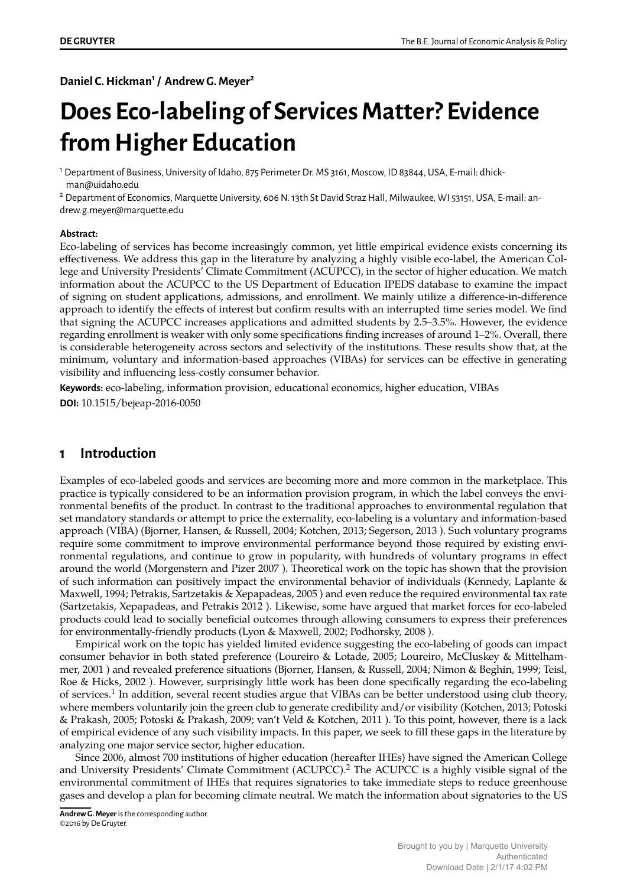## **Daniel C. Hickman<sup>1</sup> / Andrew G. Meyer<sup>2</sup>**

# **Does Eco-labeling of Services Matter? Evidence from Higher Education**

<sup>1</sup> Department of Business, University of Idaho, 875 Perimeter Dr. MS 3161, Moscow, ID 83844, USA, E-mail: dhickman@uidaho.edu

<sup>2</sup> Department of Economics, Marquette University, 606 N. 13th St David Straz Hall, Milwaukee, WI 53151, USA, E-mail: andrew.g.meyer@marquette.edu

#### **Abstract:**

Eco-labeling of services has become increasingly common, yet little empirical evidence exists concerning its effectiveness. We address this gap in the literature by analyzing a highly visible eco-label, the American College and University Presidents' Climate Commitment (ACUPCC), in the sector of higher education. We match information about the ACUPCC to the US Department of Education IPEDS database to examine the impact of signing on student applications, admissions, and enrollment. We mainly utilize a difference-in-difference approach to identify the effects of interest but confirm results with an interrupted time series model. We find that signing the ACUPCC increases applications and admitted students by 2.5–3.5%. However, the evidence regarding enrollment is weaker with only some specifications finding increases of around 1–2%. Overall, there is considerable heterogeneity across sectors and selectivity of the institutions. These results show that, at the minimum, voluntary and information-based approaches (VIBAs) for services can be effective in generating visibility and influencing less-costly consumer behavior.

**Keywords:** eco-labeling, information provision, educational economics, higher education, VIBAs **DOI:** 10.1515/bejeap-2016-0050

## **1 Introduction**

Examples of eco-labeled goods and services are becoming more and more common in the marketplace. This practice is typically considered to be an information provision program, in which the label conveys the environmental benefits of the product. In contrast to the traditional approaches to environmental regulation that set mandatory standards or attempt to price the externality, eco-labeling is a voluntary and information-based approach (VIBA) (Bjorner, Hansen, & Russell, 2004; Kotchen, 2013; Segerson, 2013 ). Such voluntary programs require some commitment to improve environmental performance beyond those required by existing environmental regulations, and continue to grow in popularity, with hundreds of voluntary programs in effect around the world (Morgenstern and Pizer 2007 ). Theoretical work on the topic has shown that the provision of such information can positively impact the environmental behavior of individuals (Kennedy, Laplante & Maxwell, 1994; Petrakis, Sartzetakis & Xepapadeas, 2005 ) and even reduce the required environmental tax rate (Sartzetakis, Xepapadeas, and Petrakis 2012 ). Likewise, some have argued that market forces for eco-labeled products could lead to socially beneficial outcomes through allowing consumers to express their preferences for environmentally-friendly products (Lyon & Maxwell, 2002; Podhorsky, 2008 ).

Empirical work on the topic has yielded limited evidence suggesting the eco-labeling of goods can impact consumer behavior in both stated preference (Loureiro & Lotade, 2005; Loureiro, McCluskey & Mittelhammer, 2001 ) and revealed preference situations (Bjorner, Hansen, & Russell, 2004; Nimon & Beghin, 1999; Teisl, Roe & Hicks, 2002 ). However, surprisingly little work has been done specifically regarding the eco-labeling of services.<sup>1</sup> In addition, several recent studies argue that VIBAs can be better understood using club theory, where members voluntarily join the green club to generate credibility and/or visibility (Kotchen, 2013; Potoski & Prakash, 2005; Potoski & Prakash, 2009; van't Veld & Kotchen, 2011 ). To this point, however, there is a lack of empirical evidence of any such visibility impacts. In this paper, we seek to fill these gaps in the literature by analyzing one major service sector, higher education.

Since 2006, almost 700 institutions of higher education (hereafter IHEs) have signed the American College and University Presidents' Climate Commitment (ACUPCC).<sup>2</sup> The ACUPCC is a highly visible signal of the environmental commitment of IHEs that requires signatories to take immediate steps to reduce greenhouse gases and develop a plan for becoming climate neutral. We match the information about signatories to the US

**Andrew G. Meyer**is the corresponding author. ©2016 by De Gruyter.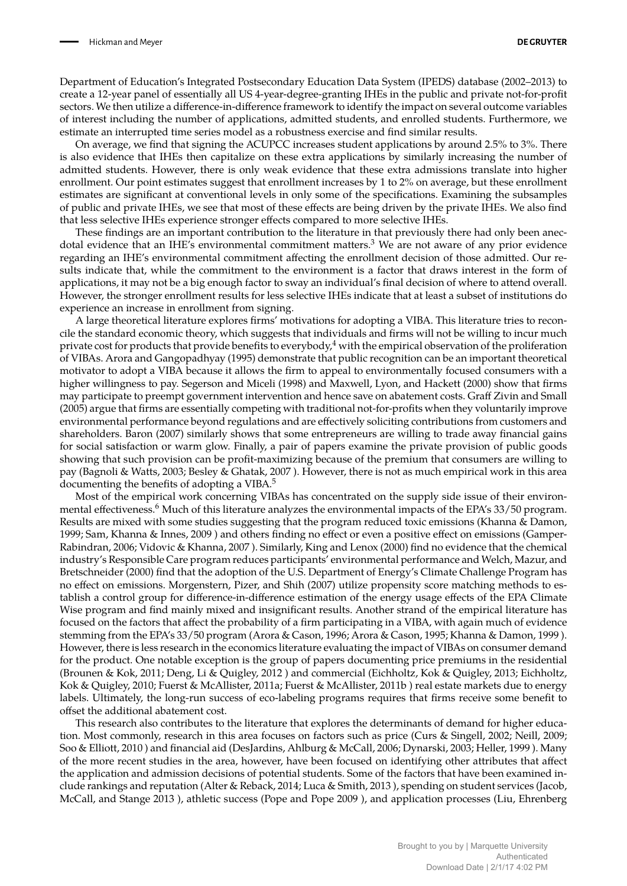Department of Education's Integrated Postsecondary Education Data System (IPEDS) database (2002–2013) to create a 12-year panel of essentially all US 4-year-degree-granting IHEs in the public and private not-for-profit sectors. We then utilize a difference-in-difference framework to identify the impact on several outcome variables of interest including the number of applications, admitted students, and enrolled students. Furthermore, we estimate an interrupted time series model as a robustness exercise and find similar results.

On average, we find that signing the ACUPCC increases student applications by around 2.5% to 3%. There is also evidence that IHEs then capitalize on these extra applications by similarly increasing the number of admitted students. However, there is only weak evidence that these extra admissions translate into higher enrollment. Our point estimates suggest that enrollment increases by 1 to 2% on average, but these enrollment estimates are significant at conventional levels in only some of the specifications. Examining the subsamples of public and private IHEs, we see that most of these effects are being driven by the private IHEs. We also find that less selective IHEs experience stronger effects compared to more selective IHEs.

These findings are an important contribution to the literature in that previously there had only been anecdotal evidence that an IHE's environmental commitment matters.<sup>3</sup> We are not aware of any prior evidence regarding an IHE's environmental commitment affecting the enrollment decision of those admitted. Our results indicate that, while the commitment to the environment is a factor that draws interest in the form of applications, it may not be a big enough factor to sway an individual's final decision of where to attend overall. However, the stronger enrollment results for less selective IHEs indicate that at least a subset of institutions do experience an increase in enrollment from signing.

A large theoretical literature explores firms' motivations for adopting a VIBA. This literature tries to reconcile the standard economic theory, which suggests that individuals and firms will not be willing to incur much private cost for products that provide benefits to everybody, $4$  with the empirical observation of the proliferation of VIBAs. Arora and Gangopadhyay (1995) demonstrate that public recognition can be an important theoretical motivator to adopt a VIBA because it allows the firm to appeal to environmentally focused consumers with a higher willingness to pay. Segerson and Miceli (1998) and Maxwell, Lyon, and Hackett (2000) show that firms may participate to preempt government intervention and hence save on abatement costs. Graff Zivin and Small (2005) argue that firms are essentially competing with traditional not-for-profits when they voluntarily improve environmental performance beyond regulations and are effectively soliciting contributions from customers and shareholders. Baron (2007) similarly shows that some entrepreneurs are willing to trade away financial gains for social satisfaction or warm glow. Finally, a pair of papers examine the private provision of public goods showing that such provision can be profit-maximizing because of the premium that consumers are willing to pay (Bagnoli & Watts, 2003; Besley & Ghatak, 2007 ). However, there is not as much empirical work in this area documenting the benefits of adopting a VIBA.<sup>5</sup>

Most of the empirical work concerning VIBAs has concentrated on the supply side issue of their environmental effectiveness.<sup>6</sup> Much of this literature analyzes the environmental impacts of the EPA's 33/50 program. Results are mixed with some studies suggesting that the program reduced toxic emissions (Khanna & Damon, 1999; Sam, Khanna & Innes, 2009 ) and others finding no effect or even a positive effect on emissions (Gamper-Rabindran, 2006; Vidovic & Khanna, 2007 ). Similarly, King and Lenox (2000) find no evidence that the chemical industry's Responsible Care program reduces participants' environmental performance and Welch, Mazur, and Bretschneider (2000) find that the adoption of the U.S. Department of Energy's Climate Challenge Program has no effect on emissions. Morgenstern, Pizer, and Shih (2007) utilize propensity score matching methods to establish a control group for difference-in-difference estimation of the energy usage effects of the EPA Climate Wise program and find mainly mixed and insignificant results. Another strand of the empirical literature has focused on the factors that affect the probability of a firm participating in a VIBA, with again much of evidence stemming from the EPA's 33/50 program (Arora & Cason, 1996; Arora & Cason, 1995; Khanna & Damon, 1999 ). However, there is less research in the economics literature evaluating the impact of VIBAs on consumer demand for the product. One notable exception is the group of papers documenting price premiums in the residential (Brounen & Kok, 2011; Deng, Li & Quigley, 2012 ) and commercial (Eichholtz, Kok & Quigley, 2013; Eichholtz, Kok & Quigley, 2010; Fuerst & McAllister, 2011a; Fuerst & McAllister, 2011b ) real estate markets due to energy labels. Ultimately, the long-run success of eco-labeling programs requires that firms receive some benefit to offset the additional abatement cost.

This research also contributes to the literature that explores the determinants of demand for higher education. Most commonly, research in this area focuses on factors such as price (Curs & Singell, 2002; Neill, 2009; Soo & Elliott, 2010 ) and financial aid (DesJardins, Ahlburg & McCall, 2006; Dynarski, 2003; Heller, 1999 ). Many of the more recent studies in the area, however, have been focused on identifying other attributes that affect the application and admission decisions of potential students. Some of the factors that have been examined include rankings and reputation (Alter & Reback, 2014; Luca & Smith, 2013 ), spending on student services (Jacob, McCall, and Stange 2013 ), athletic success (Pope and Pope 2009 ), and application processes (Liu, Ehrenberg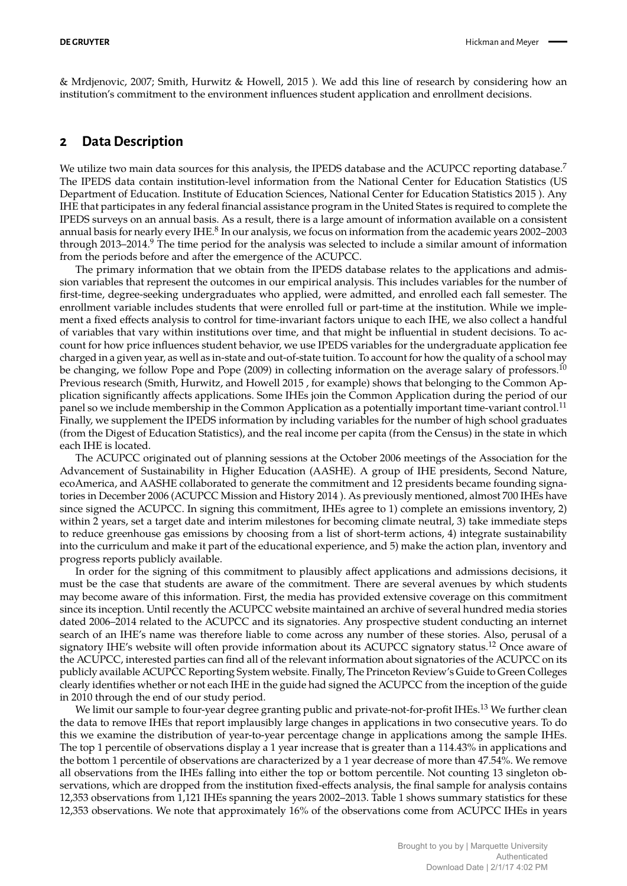& Mrdjenovic, 2007; Smith, Hurwitz & Howell, 2015 ). We add this line of research by considering how an institution's commitment to the environment influences student application and enrollment decisions.

## **2 Data Description**

We utilize two main data sources for this analysis, the IPEDS database and the ACUPCC reporting database.<sup>7</sup> The IPEDS data contain institution-level information from the National Center for Education Statistics (US Department of Education. Institute of Education Sciences, National Center for Education Statistics 2015 ). Any IHE that participates in any federal financial assistance program in the United States is required to complete the IPEDS surveys on an annual basis. As a result, there is a large amount of information available on a consistent annual basis for nearly every IHE. $^8$  In our analysis, we focus on information from the academic years 2002–2003 through 2013–2014.<sup>9</sup> The time period for the analysis was selected to include a similar amount of information from the periods before and after the emergence of the ACUPCC.

The primary information that we obtain from the IPEDS database relates to the applications and admission variables that represent the outcomes in our empirical analysis. This includes variables for the number of first-time, degree-seeking undergraduates who applied, were admitted, and enrolled each fall semester. The enrollment variable includes students that were enrolled full or part-time at the institution. While we implement a fixed effects analysis to control for time-invariant factors unique to each IHE, we also collect a handful of variables that vary within institutions over time, and that might be influential in student decisions. To account for how price influences student behavior, we use IPEDS variables for the undergraduate application fee charged in a given year, as well as in-state and out-of-state tuition. To account for how the quality of a school may be changing, we follow Pope and Pope (2009) in collecting information on the average salary of professors.<sup>10</sup> Previous research (Smith, Hurwitz, and Howell 2015 , for example) shows that belonging to the Common Application significantly affects applications. Some IHEs join the Common Application during the period of our panel so we include membership in the Common Application as a potentially important time-variant control.<sup>11</sup> Finally, we supplement the IPEDS information by including variables for the number of high school graduates (from the Digest of Education Statistics), and the real income per capita (from the Census) in the state in which each IHE is located.

The ACUPCC originated out of planning sessions at the October 2006 meetings of the Association for the Advancement of Sustainability in Higher Education (AASHE). A group of IHE presidents, Second Nature, ecoAmerica, and AASHE collaborated to generate the commitment and 12 presidents became founding signatories in December 2006 (ACUPCC Mission and History 2014 ). As previously mentioned, almost 700 IHEs have since signed the ACUPCC. In signing this commitment, IHEs agree to 1) complete an emissions inventory, 2) within 2 years, set a target date and interim milestones for becoming climate neutral, 3) take immediate steps to reduce greenhouse gas emissions by choosing from a list of short-term actions, 4) integrate sustainability into the curriculum and make it part of the educational experience, and 5) make the action plan, inventory and progress reports publicly available.

In order for the signing of this commitment to plausibly affect applications and admissions decisions, it must be the case that students are aware of the commitment. There are several avenues by which students may become aware of this information. First, the media has provided extensive coverage on this commitment since its inception. Until recently the ACUPCC website maintained an archive of several hundred media stories dated 2006–2014 related to the ACUPCC and its signatories. Any prospective student conducting an internet search of an IHE's name was therefore liable to come across any number of these stories. Also, perusal of a signatory IHE's website will often provide information about its ACUPCC signatory status.<sup>12</sup> Once aware of the ACUPCC, interested parties can find all of the relevant information about signatories of the ACUPCC on its publicly available ACUPCC Reporting System website. Finally, The Princeton Review's Guide to Green Colleges clearly identifies whether or not each IHE in the guide had signed the ACUPCC from the inception of the guide in 2010 through the end of our study period.

We limit our sample to four-year degree granting public and private-not-for-profit IHEs.<sup>13</sup> We further clean the data to remove IHEs that report implausibly large changes in applications in two consecutive years. To do this we examine the distribution of year-to-year percentage change in applications among the sample IHEs. The top 1 percentile of observations display a 1 year increase that is greater than a 114.43% in applications and the bottom 1 percentile of observations are characterized by a 1 year decrease of more than 47.54%. We remove all observations from the IHEs falling into either the top or bottom percentile. Not counting 13 singleton observations, which are dropped from the institution fixed-effects analysis, the final sample for analysis contains 12,353 observations from 1,121 IHEs spanning the years 2002–2013. Table 1 shows summary statistics for these 12,353 observations. We note that approximately 16% of the observations come from ACUPCC IHEs in years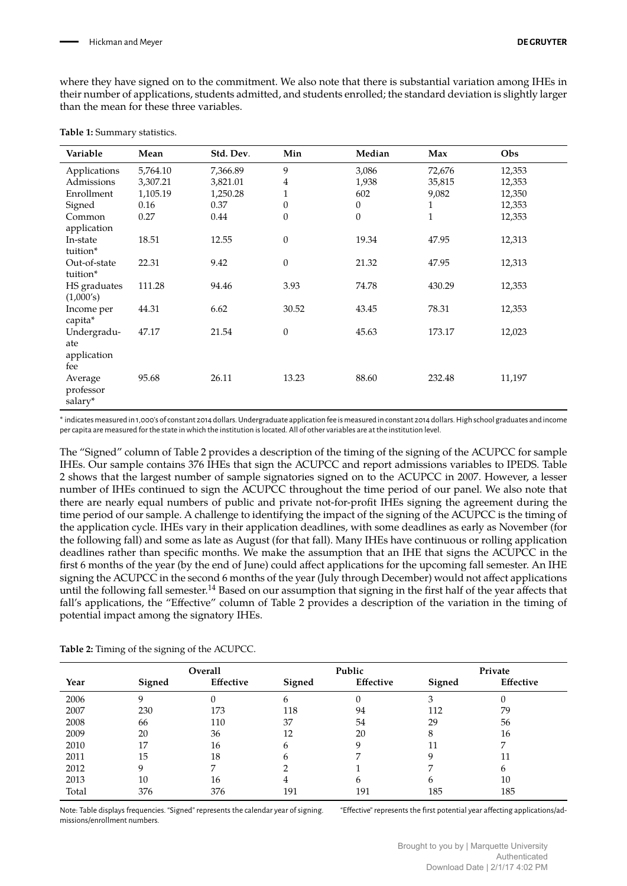where they have signed on to the commitment. We also note that there is substantial variation among IHEs in their number of applications, students admitted, and students enrolled; the standard deviation is slightly larger than the mean for these three variables.

| Variable     | Mean     | Std. Dev. | Min              | Median       | Max          | Obs    |
|--------------|----------|-----------|------------------|--------------|--------------|--------|
| Applications | 5,764.10 | 7,366.89  | 9                | 3,086        | 72,676       | 12,353 |
| Admissions   | 3,307.21 | 3,821.01  | 4                | 1,938        | 35,815       | 12,353 |
| Enrollment   | 1,105.19 | 1,250.28  | 1                | 602          | 9,082        | 12,350 |
| Signed       | 0.16     | 0.37      | $\boldsymbol{0}$ | 0            | $\mathbf{1}$ | 12,353 |
| Common       | 0.27     | 0.44      | $\theta$         | $\mathbf{0}$ | $\mathbf{1}$ | 12,353 |
| application  |          |           |                  |              |              |        |
| In-state     | 18.51    | 12.55     | $\mathbf{0}$     | 19.34        | 47.95        | 12,313 |
| tuition*     |          |           |                  |              |              |        |
| Out-of-state | 22.31    | 9.42      | $\boldsymbol{0}$ | 21.32        | 47.95        | 12,313 |
| tuition*     |          |           |                  |              |              |        |
| HS graduates | 111.28   | 94.46     | 3.93             | 74.78        | 430.29       | 12,353 |
| (1,000's)    |          |           |                  |              |              |        |
| Income per   | 44.31    | 6.62      | 30.52            | 43.45        | 78.31        | 12,353 |
| capita*      |          |           |                  |              |              |        |
| Undergradu-  | 47.17    | 21.54     | $\mathbf{0}$     | 45.63        | 173.17       | 12,023 |
| ate          |          |           |                  |              |              |        |
| application  |          |           |                  |              |              |        |
| fee          |          |           |                  |              |              |        |
| Average      | 95.68    | 26.11     | 13.23            | 88.60        | 232.48       | 11,197 |
| professor    |          |           |                  |              |              |        |
| salary*      |          |           |                  |              |              |        |

**Table 1:** Summary statistics.

∗ indicates measured in 1,000's of constant 2014 dollars. Undergraduate application fee is measured in constant 2014 dollars.High school graduates and income per capita are measured for the state in which the institution is located. All of other variables are at the institution level.

The "Signed" column of Table 2 provides a description of the timing of the signing of the ACUPCC for sample IHEs. Our sample contains 376 IHEs that sign the ACUPCC and report admissions variables to IPEDS. Table 2 shows that the largest number of sample signatories signed on to the ACUPCC in 2007. However, a lesser number of IHEs continued to sign the ACUPCC throughout the time period of our panel. We also note that there are nearly equal numbers of public and private not-for-profit IHEs signing the agreement during the time period of our sample. A challenge to identifying the impact of the signing of the ACUPCC is the timing of the application cycle. IHEs vary in their application deadlines, with some deadlines as early as November (for the following fall) and some as late as August (for that fall). Many IHEs have continuous or rolling application deadlines rather than specific months. We make the assumption that an IHE that signs the ACUPCC in the first 6 months of the year (by the end of June) could affect applications for the upcoming fall semester. An IHE signing the ACUPCC in the second 6 months of the year (July through December) would not affect applications until the following fall semester.<sup>14</sup> Based on our assumption that signing in the first half of the year affects that fall's applications, the "Effective" column of Table 2 provides a description of the variation in the timing of potential impact among the signatory IHEs.

|       | Overall |           |              | Public    |        | Private   |
|-------|---------|-----------|--------------|-----------|--------|-----------|
| Year  | Signed  | Effective | Signed       | Effective | Signed | Effective |
| 2006  | q       | 0         | <sub>b</sub> |           | 3      |           |
| 2007  | 230     | 173       | 118          | 94        | 112    | 79        |
| 2008  | 66      | 110       | 37           | 54        | 29     | 56        |
| 2009  | 20      | 36        | 12           | 20        | 8      | 16        |
| 2010  | 17      | 16        | h            | Q         |        |           |
| 2011  | 15      | 18        | h            |           | q      | 11        |
| 2012  | Q       |           |              |           |        | h         |
| 2013  | 10      | 16        | 4            | 6         | 6      | 10        |
| Total | 376     | 376       | 191          | 191       | 185    | 185       |

**Table 2:** Timing of the signing of the ACUPCC.

Note: Table displays frequencies. "Signed" represents the calendar year of signing. "Effective" represents the first potential year affecting applications/admissions/enrollment numbers.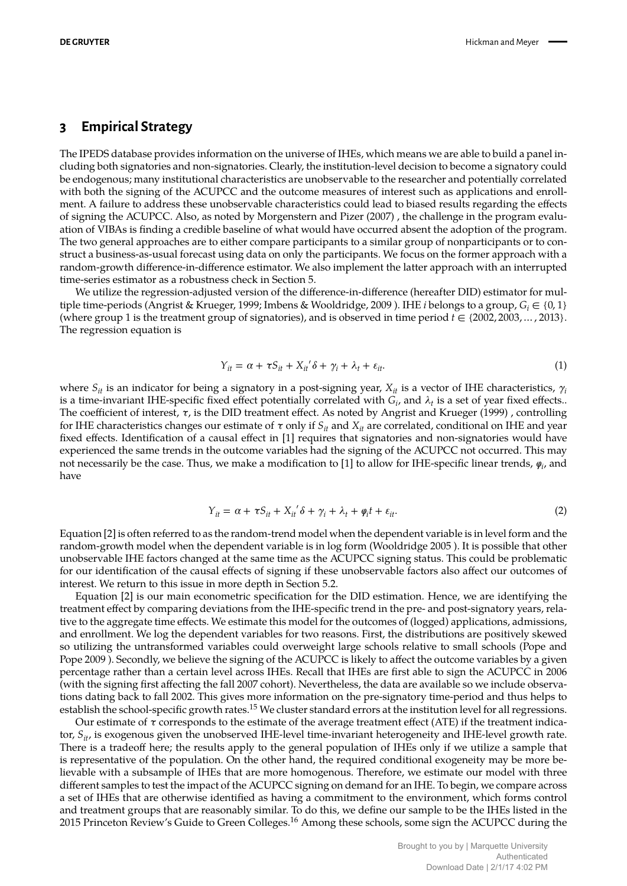## **3 Empirical Strategy**

The IPEDS database provides information on the universe of IHEs, which means we are able to build a panel including both signatories and non-signatories. Clearly, the institution-level decision to become a signatory could be endogenous; many institutional characteristics are unobservable to the researcher and potentially correlated with both the signing of the ACUPCC and the outcome measures of interest such as applications and enrollment. A failure to address these unobservable characteristics could lead to biased results regarding the effects of signing the ACUPCC. Also, as noted by Morgenstern and Pizer (2007) , the challenge in the program evaluation of VIBAs is finding a credible baseline of what would have occurred absent the adoption of the program. The two general approaches are to either compare participants to a similar group of nonparticipants or to construct a business-as-usual forecast using data on only the participants. We focus on the former approach with a random-growth difference-in-difference estimator. We also implement the latter approach with an interrupted time-series estimator as a robustness check in Section 5.

We utilize the regression-adjusted version of the difference-in-difference (hereafter DID) estimator for multiple time-periods (Angrist & Krueger, 1999; Imbens & Wooldridge, 2009 ). IHE *i* belongs to a group, *G<sup>i</sup>* ∈ {0, 1} (where group 1 is the treatment group of signatories), and is observed in time period *t* ∈ {2002, 2003, … , 2013}. The regression equation is

$$
Y_{it} = \alpha + \tau S_{it} + X_{it} \delta + \gamma_i + \lambda_t + \varepsilon_{it}.
$$
\n<sup>(1)</sup>

where *Sit* is an indicator for being a signatory in a post-signing year, *Xit* is a vector of IHE characteristics, *γ<sup>i</sup>* is a time-invariant IHE-specific fixed effect potentially correlated with  $G_i$ , and  $\lambda_t$  is a set of year fixed effects.. The coefficient of interest, *τ*, is the DID treatment effect. As noted by Angrist and Krueger (1999) , controlling for IHE characteristics changes our estimate of *τ* only if *Sit* and *Xit* are correlated, conditional on IHE and year fixed effects. Identification of a causal effect in [1] requires that signatories and non-signatories would have experienced the same trends in the outcome variables had the signing of the ACUPCC not occurred. This may not necessarily be the case. Thus, we make a modification to [1] to allow for IHE-specific linear trends, *φ<sup>i</sup>* , and have

$$
Y_{it} = \alpha + \tau S_{it} + X_{it}' \delta + \gamma_i + \lambda_t + \varphi_i t + \varepsilon_{it}.
$$
\n<sup>(2)</sup>

Equation [2] is often referred to as the random-trend model when the dependent variable is in level form and the random-growth model when the dependent variable is in log form (Wooldridge 2005 ). It is possible that other unobservable IHE factors changed at the same time as the ACUPCC signing status. This could be problematic for our identification of the causal effects of signing if these unobservable factors also affect our outcomes of interest. We return to this issue in more depth in Section 5.2.

Equation [2] is our main econometric specification for the DID estimation. Hence, we are identifying the treatment effect by comparing deviations from the IHE-specific trend in the pre- and post-signatory years, relative to the aggregate time effects. We estimate this model for the outcomes of (logged) applications, admissions, and enrollment. We log the dependent variables for two reasons. First, the distributions are positively skewed so utilizing the untransformed variables could overweight large schools relative to small schools (Pope and Pope 2009 ). Secondly, we believe the signing of the ACUPCC is likely to affect the outcome variables by a given percentage rather than a certain level across IHEs. Recall that IHEs are first able to sign the ACUPCC in 2006 (with the signing first affecting the fall 2007 cohort). Nevertheless, the data are available so we include observations dating back to fall 2002. This gives more information on the pre-signatory time-period and thus helps to establish the school-specific growth rates.<sup>15</sup> We cluster standard errors at the institution level for all regressions.

Our estimate of  $\tau$  corresponds to the estimate of the average treatment effect (ATE) if the treatment indicator, *Sit*, is exogenous given the unobserved IHE-level time-invariant heterogeneity and IHE-level growth rate. There is a tradeoff here; the results apply to the general population of IHEs only if we utilize a sample that is representative of the population. On the other hand, the required conditional exogeneity may be more believable with a subsample of IHEs that are more homogenous. Therefore, we estimate our model with three different samples to test the impact of the ACUPCC signing on demand for an IHE. To begin, we compare across a set of IHEs that are otherwise identified as having a commitment to the environment, which forms control and treatment groups that are reasonably similar. To do this, we define our sample to be the IHEs listed in the 2015 Princeton Review's Guide to Green Colleges.<sup>16</sup> Among these schools, some sign the ACUPCC during the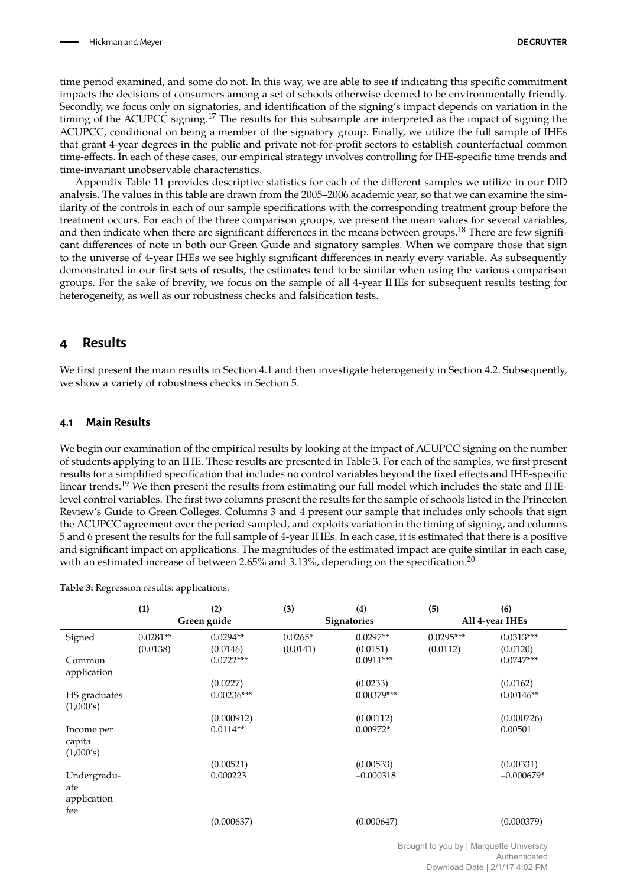time period examined, and some do not. In this way, we are able to see if indicating this specific commitment impacts the decisions of consumers among a set of schools otherwise deemed to be environmentally friendly. Secondly, we focus only on signatories, and identification of the signing's impact depends on variation in the timing of the ACUPCC signing.<sup>17</sup> The results for this subsample are interpreted as the impact of signing the ACUPCC, conditional on being a member of the signatory group. Finally, we utilize the full sample of IHEs that grant 4-year degrees in the public and private not-for-profit sectors to establish counterfactual common time-effects. In each of these cases, our empirical strategy involves controlling for IHE-specific time trends and time-invariant unobservable characteristics.

Appendix Table 11 provides descriptive statistics for each of the different samples we utilize in our DID analysis. The values in this table are drawn from the 2005–2006 academic year, so that we can examine the similarity of the controls in each of our sample specifications with the corresponding treatment group before the treatment occurs. For each of the three comparison groups, we present the mean values for several variables, and then indicate when there are significant differences in the means between groups.<sup>18</sup> There are few significant differences of note in both our Green Guide and signatory samples. When we compare those that sign to the universe of 4-year IHEs we see highly significant differences in nearly every variable. As subsequently demonstrated in our first sets of results, the estimates tend to be similar when using the various comparison groups. For the sake of brevity, we focus on the sample of all 4-year IHEs for subsequent results testing for heterogeneity, as well as our robustness checks and falsification tests.

## **4 Results**

We first present the main results in Section 4.1 and then investigate heterogeneity in Section 4.2. Subsequently, we show a variety of robustness checks in Section 5.

### **4.1 Main Results**

We begin our examination of the empirical results by looking at the impact of ACUPCC signing on the number of students applying to an IHE. These results are presented in Table 3. For each of the samples, we first present results for a simplified specification that includes no control variables beyond the fixed effects and IHE-specific linear trends.<sup>19</sup> We then present the results from estimating our full model which includes the state and IHElevel control variables. The first two columns present the results for the sample of schools listed in the Princeton Review's Guide to Green Colleges. Columns 3 and 4 present our sample that includes only schools that sign the ACUPCC agreement over the period sampled, and exploits variation in the timing of signing, and columns 5 and 6 present the results for the full sample of 4-year IHEs. In each case, it is estimated that there is a positive and significant impact on applications. The magnitudes of the estimated impact are quite similar in each case, with an estimated increase of between 2.65% and 3.13%, depending on the specification.<sup>20</sup>

|                                          | (1)        | (2)          | (3)       | (4)                | (5)         | (6)             |
|------------------------------------------|------------|--------------|-----------|--------------------|-------------|-----------------|
|                                          |            | Green guide  |           | <b>Signatories</b> |             | All 4-year IHEs |
| Signed                                   | $0.0281**$ | $0.0294**$   | $0.0265*$ | $0.0297**$         | $0.0295***$ | $0.0313***$     |
|                                          | (0.0138)   | (0.0146)     | (0.0141)  | (0.0151)           | (0.0112)    | (0.0120)        |
| Common<br>application                    |            | $0.0722***$  |           | $0.0911***$        |             | $0.0747***$     |
|                                          |            | (0.0227)     |           | (0.0233)           |             | (0.0162)        |
| HS graduates<br>(1,000's)                |            | $0.00236***$ |           | $0.00379***$       |             | $0.00146**$     |
|                                          |            | (0.000912)   |           | (0.00112)          |             | (0.000726)      |
| Income per<br>capita<br>(1,000's)        |            | $0.0114**$   |           | $0.00972*$         |             | 0.00501         |
|                                          |            | (0.00521)    |           | (0.00533)          |             | (0.00331)       |
| Undergradu-<br>ate<br>application<br>fee |            | 0.000223     |           | $-0.000318$        |             | $-0.000679*$    |
|                                          |            | (0.000637)   |           | (0.000647)         |             | (0.000379)      |

**Table 3:** Regression results: applications.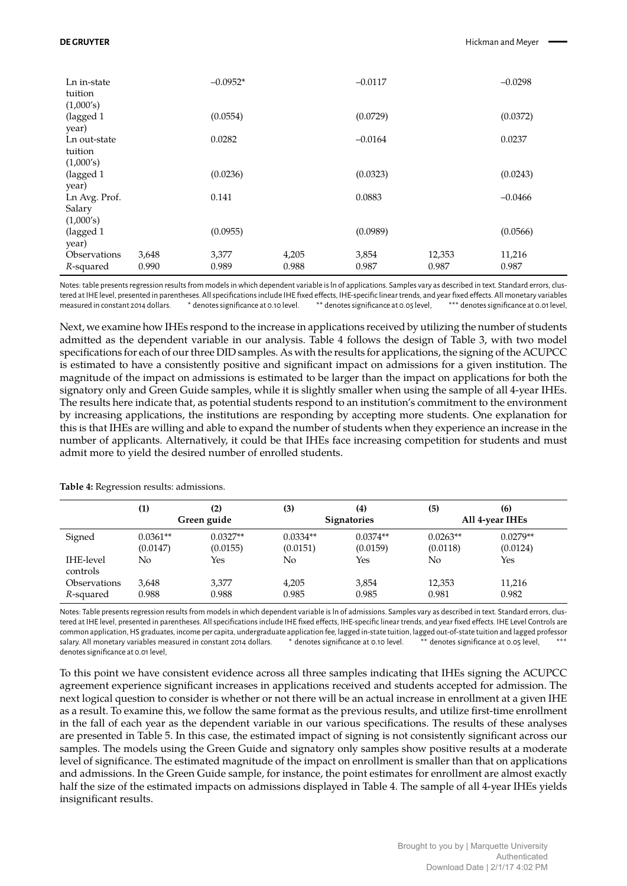**DE GRUYTER Hickman and Meyer Hickman and Meyer Hickman and Meyer Hickman and Meyer** 

| Ln in-state<br>tuition<br>(1,000's)  |                | $-0.0952*$     |                | $-0.0117$      |                 | $-0.0298$       |
|--------------------------------------|----------------|----------------|----------------|----------------|-----------------|-----------------|
| (lagged 1<br>year)                   |                | (0.0554)       |                | (0.0729)       |                 | (0.0372)        |
| Ln out-state<br>tuition<br>(1,000's) |                | 0.0282         |                | $-0.0164$      |                 | 0.0237          |
| (lagged 1<br>year)                   |                | (0.0236)       |                | (0.0323)       |                 | (0.0243)        |
| Ln Avg. Prof.<br>Salary<br>(1,000's) |                | 0.141          |                | 0.0883         |                 | $-0.0466$       |
| (lagged 1<br>year)                   |                | (0.0955)       |                | (0.0989)       |                 | (0.0566)        |
| Observations<br>R-squared            | 3,648<br>0.990 | 3,377<br>0.989 | 4,205<br>0.988 | 3,854<br>0.987 | 12,353<br>0.987 | 11,216<br>0.987 |

Notes: table presents regression results from models in which dependent variable is ln of applications. Samples vary as described in text. Standard errors, clustered at IHE level, presented in parentheses. All specifications include IHE fixed effects, IHE-specific linear trends, and year fixed effects. All monetary variables<br>measured in constant 2014 dollars. \* denotes significan \*\*\* denotes significance at 0.01 level,

Next, we examine how IHEs respond to the increase in applications received by utilizing the number of students admitted as the dependent variable in our analysis. Table 4 follows the design of Table 3, with two model specifications for each of our three DID samples. As with the results for applications, the signing of the ACUPCC is estimated to have a consistently positive and significant impact on admissions for a given institution. The magnitude of the impact on admissions is estimated to be larger than the impact on applications for both the signatory only and Green Guide samples, while it is slightly smaller when using the sample of all 4-year IHEs. The results here indicate that, as potential students respond to an institution's commitment to the environment by increasing applications, the institutions are responding by accepting more students. One explanation for this is that IHEs are willing and able to expand the number of students when they experience an increase in the number of applicants. Alternatively, it could be that IHEs face increasing competition for students and must admit more to yield the desired number of enrolled students.

|                                  | $\left( 1\right)$      | (2)                    | (3)                    | (4)                    | (5)                    | (6)                    |
|----------------------------------|------------------------|------------------------|------------------------|------------------------|------------------------|------------------------|
|                                  |                        | Green guide            |                        | <b>Signatories</b>     |                        | All 4-year IHEs        |
| Signed                           | $0.0361**$<br>(0.0147) | $0.0327**$<br>(0.0155) | $0.0334**$<br>(0.0151) | $0.0374**$<br>(0.0159) | $0.0263**$<br>(0.0118) | $0.0279**$<br>(0.0124) |
| <b>IHE-level</b><br>controls     | No                     | Yes                    | No                     | Yes                    | No                     | Yes                    |
| <b>Observations</b><br>R-squared | 3,648<br>0.988         | 3,377<br>0.988         | 4,205<br>0.985         | 3,854<br>0.985         | 12,353<br>0.981        | 11,216<br>0.982        |

**Table 4:** Regression results: admissions.

Notes: Table presents regression results from models in which dependent variable is ln of admissions. Samples vary as described in text. Standard errors, clustered at IHE level, presented in parentheses. All specifications include IHE fixed effects, IHE-specific linear trends, and year fixed effects. IHE Level Controls are common application, HS graduates, income per capita, undergraduate application fee, lagged in-state tuition, lagged out-of-state tuition and lagged professor salary. All monetary variables measured in constant 2014 dollars salary. All monetary variables measured in constant 2014 dollars. ∗ denotes significance at 0.10 level. denotes significance at 0.01 level,

To this point we have consistent evidence across all three samples indicating that IHEs signing the ACUPCC agreement experience significant increases in applications received and students accepted for admission. The next logical question to consider is whether or not there will be an actual increase in enrollment at a given IHE as a result. To examine this, we follow the same format as the previous results, and utilize first-time enrollment in the fall of each year as the dependent variable in our various specifications. The results of these analyses are presented in Table 5. In this case, the estimated impact of signing is not consistently significant across our samples. The models using the Green Guide and signatory only samples show positive results at a moderate level of significance. The estimated magnitude of the impact on enrollment is smaller than that on applications and admissions. In the Green Guide sample, for instance, the point estimates for enrollment are almost exactly half the size of the estimated impacts on admissions displayed in Table 4. The sample of all 4-year IHEs yields insignificant results.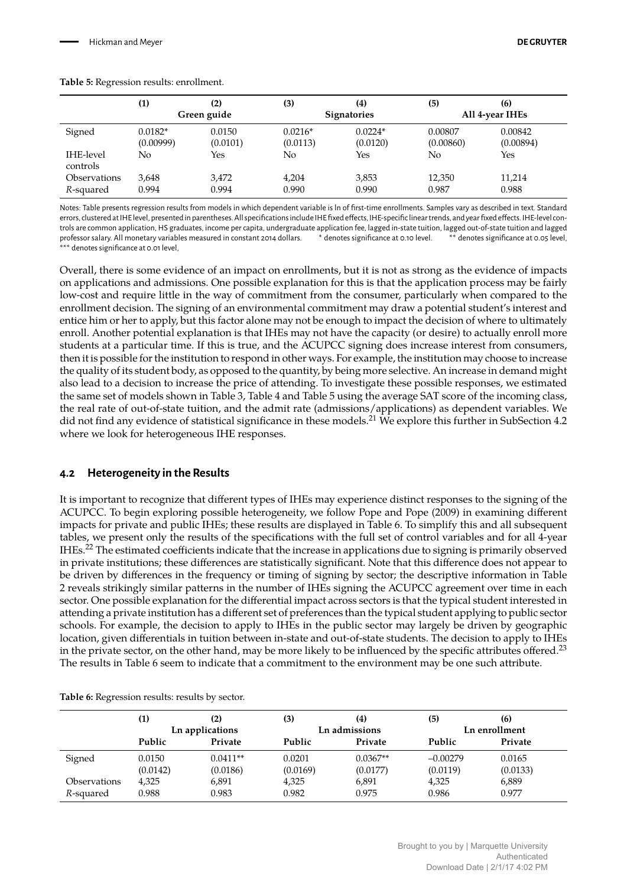|                              | $\left( 1\right)$      | (2)                | (3)                   | (4)                   | (5)                  | (6)                  |
|------------------------------|------------------------|--------------------|-----------------------|-----------------------|----------------------|----------------------|
|                              |                        | Green guide        |                       | <b>Signatories</b>    |                      | All 4-year IHEs      |
| Signed                       | $0.0182*$<br>(0.00999) | 0.0150<br>(0.0101) | $0.0216*$<br>(0.0113) | $0.0224*$<br>(0.0120) | 0.00807<br>(0.00860) | 0.00842<br>(0.00894) |
| <b>IHE-level</b><br>controls | No                     | Yes                | No.                   | Yes                   | No                   | Yes                  |
| Observations<br>R-squared    | 3,648<br>0.994         | 3,472<br>0.994     | 4,204<br>0.990        | 3,853<br>0.990        | 12,350<br>0.987      | 11,214<br>0.988      |

**Table 5:** Regression results: enrollment.

Notes: Table presents regression results from models in which dependent variable is ln of first-time enrollments. Samples vary as described in text. Standard errors, clustered at IHE level, presented in parentheses. All specifications include IHE fixed effects, IHE-specific linear trends, and year fixed effects. IHE-level controls are common application, HS graduates, income per capita, undergraduate application fee, lagged in-state tuition, lagged out-of-state tuition and lagged burstate tuition and lagged in-state tuition and lagged professo professor salary. All monetary variables measured in constant 2014 dollars. ∗∗∗ denotes significance at 0.01 level,

Overall, there is some evidence of an impact on enrollments, but it is not as strong as the evidence of impacts on applications and admissions. One possible explanation for this is that the application process may be fairly low-cost and require little in the way of commitment from the consumer, particularly when compared to the enrollment decision. The signing of an environmental commitment may draw a potential student's interest and entice him or her to apply, but this factor alone may not be enough to impact the decision of where to ultimately enroll. Another potential explanation is that IHEs may not have the capacity (or desire) to actually enroll more students at a particular time. If this is true, and the ACUPCC signing does increase interest from consumers, then it is possible for the institution to respond in other ways. For example, the institution may choose to increase the quality of its student body, as opposed to the quantity, by being more selective. An increase in demand might also lead to a decision to increase the price of attending. To investigate these possible responses, we estimated the same set of models shown in Table 3, Table 4 and Table 5 using the average SAT score of the incoming class, the real rate of out-of-state tuition, and the admit rate (admissions/applications) as dependent variables. We did not find any evidence of statistical significance in these models.<sup>21</sup> We explore this further in SubSection 4.2 where we look for heterogeneous IHE responses.

## **4.2 Heterogeneity in the Results**

It is important to recognize that different types of IHEs may experience distinct responses to the signing of the ACUPCC. To begin exploring possible heterogeneity, we follow Pope and Pope (2009) in examining different impacts for private and public IHEs; these results are displayed in Table 6. To simplify this and all subsequent tables, we present only the results of the specifications with the full set of control variables and for all 4-year IHEs.<sup>22</sup> The estimated coefficients indicate that the increase in applications due to signing is primarily observed in private institutions; these differences are statistically significant. Note that this difference does not appear to be driven by differences in the frequency or timing of signing by sector; the descriptive information in Table 2 reveals strikingly similar patterns in the number of IHEs signing the ACUPCC agreement over time in each sector. One possible explanation for the differential impact across sectors is that the typical student interested in attending a private institution has a different set of preferences than the typical student applying to public sector schools. For example, the decision to apply to IHEs in the public sector may largely be driven by geographic location, given differentials in tuition between in-state and out-of-state students. The decision to apply to IHEs in the private sector, on the other hand, may be more likely to be influenced by the specific attributes offered.<sup>23</sup> The results in Table 6 seem to indicate that a commitment to the environment may be one such attribute.

|              | $\scriptstyle{(1)}$ | (2)             | (3)           | (4)           | (5)        | (6)           |  |
|--------------|---------------------|-----------------|---------------|---------------|------------|---------------|--|
|              |                     | Ln applications |               | Ln admissions |            | Ln enrollment |  |
|              | <b>Public</b>       | Private         | <b>Public</b> | Private       | Public     | Private       |  |
| Signed       | 0.0150              | $0.0411**$      | 0.0201        | $0.0367**$    | $-0.00279$ | 0.0165        |  |
|              | (0.0142)            | (0.0186)        | (0.0169)      | (0.0177)      | (0.0119)   | (0.0133)      |  |
| Observations | 4,325               | 6,891           | 4,325         | 6,891         | 4,325      | 6,889         |  |
| R-squared    | 0.988               | 0.983           | 0.982         | 0.975         | 0.986      | 0.977         |  |

Table 6: Regression results: results by sector.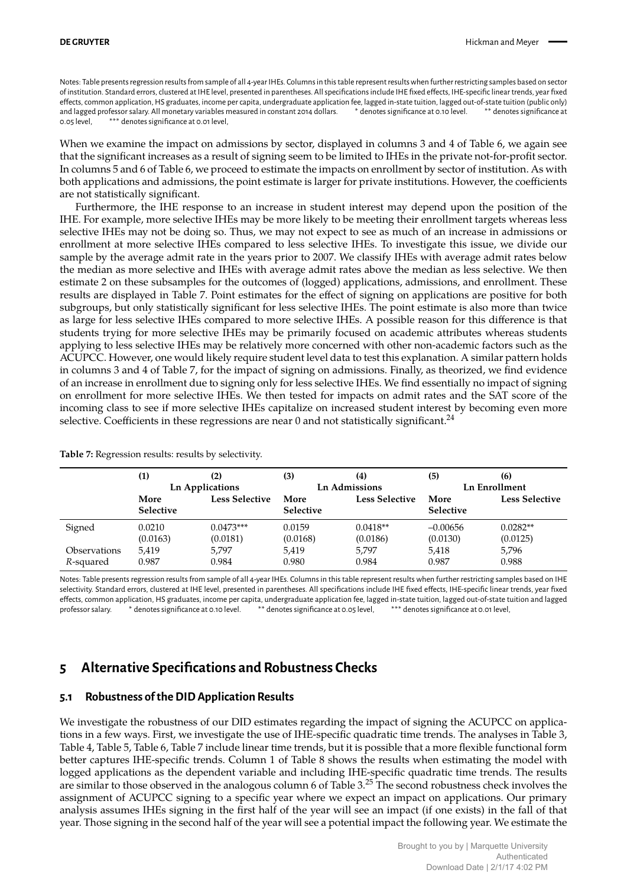Notes: Table presents regression results from sample of all 4-year IHEs. Columns in this table represent results when further restricting samples based on sector of institution. Standard errors, clustered at IHE level, presented in parentheses. All specifications include IHE fixed effects, IHE-specific linear trends, year fixed effects, common application, HS graduates, income per capita, undergraduate application fee, lagged in-state tuition, lagged out-of-state tuition (public only) and lagged professor salary. All monetary variables measured i and lagged professor salary. All monetary variables measured in constant 2014 dollars. 0.05 level, ∗∗∗ denotes significance at 0.01 level,

When we examine the impact on admissions by sector, displayed in columns 3 and 4 of Table 6, we again see that the significant increases as a result of signing seem to be limited to IHEs in the private not-for-profit sector. In columns 5 and 6 of Table 6, we proceed to estimate the impacts on enrollment by sector of institution. As with both applications and admissions, the point estimate is larger for private institutions. However, the coefficients are not statistically significant.

Furthermore, the IHE response to an increase in student interest may depend upon the position of the IHE. For example, more selective IHEs may be more likely to be meeting their enrollment targets whereas less selective IHEs may not be doing so. Thus, we may not expect to see as much of an increase in admissions or enrollment at more selective IHEs compared to less selective IHEs. To investigate this issue, we divide our sample by the average admit rate in the years prior to 2007. We classify IHEs with average admit rates below the median as more selective and IHEs with average admit rates above the median as less selective. We then estimate 2 on these subsamples for the outcomes of (logged) applications, admissions, and enrollment. These results are displayed in Table 7. Point estimates for the effect of signing on applications are positive for both subgroups, but only statistically significant for less selective IHEs. The point estimate is also more than twice as large for less selective IHEs compared to more selective IHEs. A possible reason for this difference is that students trying for more selective IHEs may be primarily focused on academic attributes whereas students applying to less selective IHEs may be relatively more concerned with other non-academic factors such as the ACUPCC. However, one would likely require student level data to test this explanation. A similar pattern holds in columns 3 and 4 of Table 7, for the impact of signing on admissions. Finally, as theorized, we find evidence of an increase in enrollment due to signing only for less selective IHEs. We find essentially no impact of signing on enrollment for more selective IHEs. We then tested for impacts on admit rates and the SAT score of the incoming class to see if more selective IHEs capitalize on increased student interest by becoming even more selective. Coefficients in these regressions are near  $0$  and not statistically significant.<sup>24</sup>

|                            | (1)                    | (2)                   | (3)              | (4)                   | (5)              | (6)                   |  |
|----------------------------|------------------------|-----------------------|------------------|-----------------------|------------------|-----------------------|--|
|                            | <b>Ln Applications</b> |                       |                  | Ln Admissions         |                  | Ln Enrollment         |  |
|                            | More                   | <b>Less Selective</b> | More             | <b>Less Selective</b> | More             | <b>Less Selective</b> |  |
|                            | <b>Selective</b>       |                       | <b>Selective</b> |                       | <b>Selective</b> |                       |  |
| Signed                     | 0.0210                 | $0.0473***$           | 0.0159           | $0.0418**$            | $-0.00656$       | $0.0282**$            |  |
|                            | (0.0163)               | (0.0181)              | (0.0168)         | (0.0186)              | (0.0130)         | (0.0125)              |  |
| <i><b>Observations</b></i> | 5,419                  | 5.797                 | 5,419            | 5,797                 | 5,418            | 5,796                 |  |
| R-squared                  | 0.987                  | 0.984                 | 0.980            | 0.984                 | 0.987            | 0.988                 |  |

**Table 7:** Regression results: results by selectivity.

Notes: Table presents regression results from sample of all 4-year IHEs. Columns in this table represent results when further restricting samples based on IHE selectivity. Standard errors, clustered at IHE level, presented in parentheses. All specifications include IHE fixed effects, IHE-specific linear trends, year fixed effects, common application, HS graduates, income per capita, undergraduate application fee, lagged in-state tuition, lagged out-of-state tuition and lagged professor salary. <sup>∗</sup> denotes significance at 0.10 level. ∗∗ denotes significance at 0.05 level, ∗∗∗ denotes significance at 0.01 level,

# **5 Alternative Specifications and Robustness Checks**

## **5.1 Robustness of the DID Application Results**

We investigate the robustness of our DID estimates regarding the impact of signing the ACUPCC on applications in a few ways. First, we investigate the use of IHE-specific quadratic time trends. The analyses in Table 3, Table 4, Table 5, Table 6, Table 7 include linear time trends, but it is possible that a more flexible functional form better captures IHE-specific trends. Column 1 of Table 8 shows the results when estimating the model with logged applications as the dependent variable and including IHE-specific quadratic time trends. The results are similar to those observed in the analogous column 6 of Table 3.<sup>25</sup> The second robustness check involves the assignment of ACUPCC signing to a specific year where we expect an impact on applications. Our primary analysis assumes IHEs signing in the first half of the year will see an impact (if one exists) in the fall of that year. Those signing in the second half of the year will see a potential impact the following year. We estimate the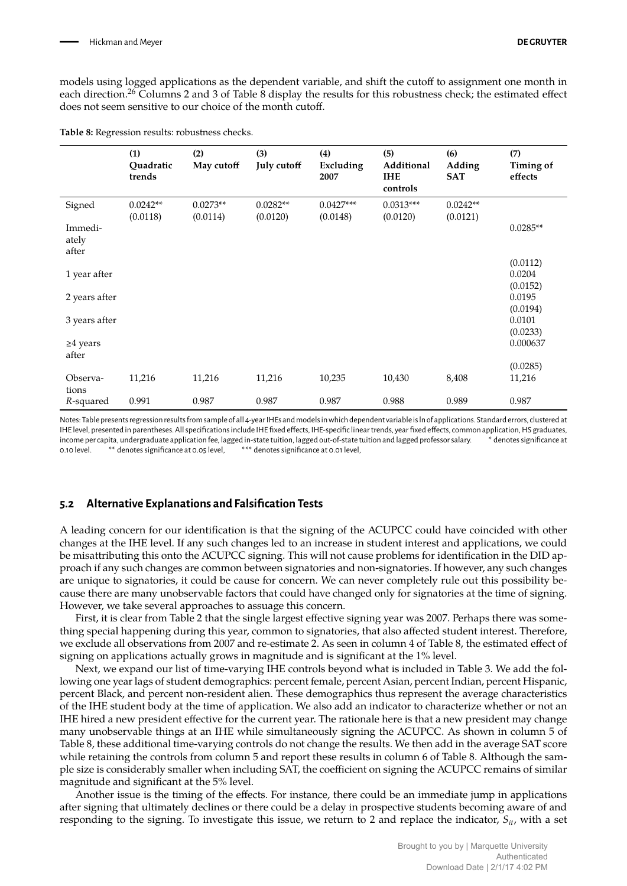models using logged applications as the dependent variable, and shift the cutoff to assignment one month in each direction.<sup>26</sup> Columns 2 and 3 of Table 8 display the results for this robustness check; the estimated effect does not seem sensitive to our choice of the month cutoff.

|                                | (1)<br>Quadratic<br>trends | (2)<br>May cutoff      | (3)<br>July cutoff     | (4)<br>Excluding<br>2007 | (5)<br>Additional<br><b>IHE</b><br>controls | (6)<br>Adding<br><b>SAT</b> | (7)<br>Timing of<br>effects              |
|--------------------------------|----------------------------|------------------------|------------------------|--------------------------|---------------------------------------------|-----------------------------|------------------------------------------|
| Signed<br>Immedi-<br>ately     | $0.0242**$<br>(0.0118)     | $0.0273**$<br>(0.0114) | $0.0282**$<br>(0.0120) | $0.0427***$<br>(0.0148)  | $0.0313***$<br>(0.0120)                     | $0.0242**$<br>(0.0121)      | $0.0285**$                               |
| after<br>1 year after          |                            |                        |                        |                          |                                             |                             | (0.0112)<br>0.0204<br>(0.0152)           |
| 2 years after<br>3 years after |                            |                        |                        |                          |                                             |                             | 0.0195<br>(0.0194)<br>0.0101<br>(0.0233) |
| $\geq$ 4 years<br>after        |                            |                        |                        |                          |                                             |                             | 0.000637<br>(0.0285)                     |
| Observa-<br>tions<br>R-squared | 11,216<br>0.991            | 11,216<br>0.987        | 11,216<br>0.987        | 10,235<br>0.987          | 10,430<br>0.988                             | 8,408<br>0.989              | 11,216<br>0.987                          |

**Table 8:** Regression results: robustness checks.

Notes: Table presents regression results from sample of all 4-year IHEs and models in which dependent variable is In of applications. Standard errors, clustered at IHE level, presented in parentheses. All specifications include IHE fixed effects, IHE-specific linear trends, year fixed effects, common application, HS graduates, income per capita, undergraduate application fee, lagged in-state tuition, lagged out-of-state tuition and lagged professor salary. \* denotes significance at 0.10 level. ∗∗ denotes significance at 0.05 level, ∗∗∗ denotes significance at 0.01 level,

#### **5.2 Alternative Explanations and Falsification Tests**

A leading concern for our identification is that the signing of the ACUPCC could have coincided with other changes at the IHE level. If any such changes led to an increase in student interest and applications, we could be misattributing this onto the ACUPCC signing. This will not cause problems for identification in the DID approach if any such changes are common between signatories and non-signatories. If however, any such changes are unique to signatories, it could be cause for concern. We can never completely rule out this possibility because there are many unobservable factors that could have changed only for signatories at the time of signing. However, we take several approaches to assuage this concern.

First, it is clear from Table 2 that the single largest effective signing year was 2007. Perhaps there was something special happening during this year, common to signatories, that also affected student interest. Therefore, we exclude all observations from 2007 and re-estimate 2. As seen in column 4 of Table 8, the estimated effect of signing on applications actually grows in magnitude and is significant at the 1% level.

Next, we expand our list of time-varying IHE controls beyond what is included in Table 3. We add the following one year lags of student demographics: percent female, percent Asian, percent Indian, percent Hispanic, percent Black, and percent non-resident alien. These demographics thus represent the average characteristics of the IHE student body at the time of application. We also add an indicator to characterize whether or not an IHE hired a new president effective for the current year. The rationale here is that a new president may change many unobservable things at an IHE while simultaneously signing the ACUPCC. As shown in column 5 of Table 8, these additional time-varying controls do not change the results. We then add in the average SAT score while retaining the controls from column 5 and report these results in column 6 of Table 8. Although the sample size is considerably smaller when including SAT, the coefficient on signing the ACUPCC remains of similar magnitude and significant at the 5% level.

Another issue is the timing of the effects. For instance, there could be an immediate jump in applications after signing that ultimately declines or there could be a delay in prospective students becoming aware of and responding to the signing. To investigate this issue, we return to 2 and replace the indicator, *Sit*, with a set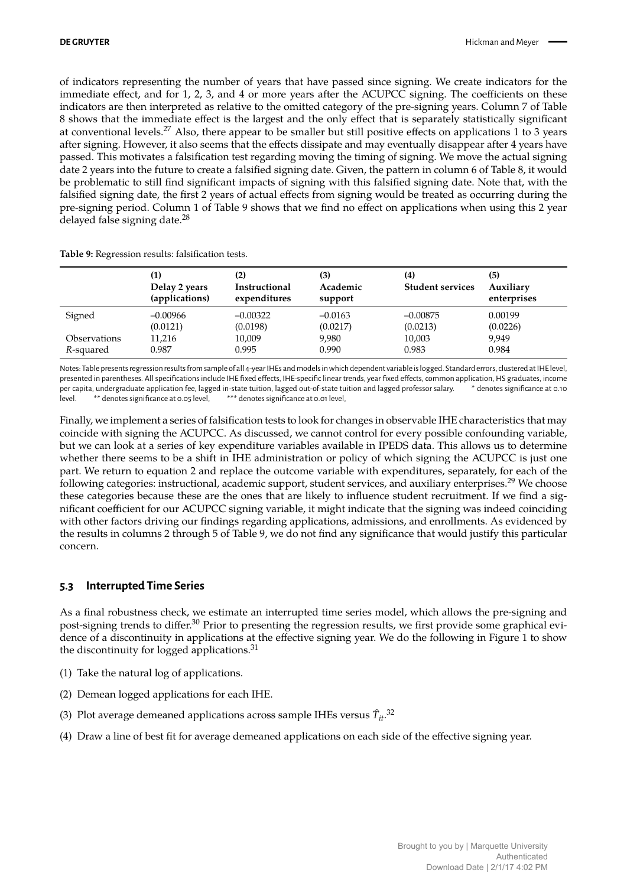of indicators representing the number of years that have passed since signing. We create indicators for the immediate effect, and for 1, 2, 3, and 4 or more years after the ACUPCC signing. The coefficients on these indicators are then interpreted as relative to the omitted category of the pre-signing years. Column 7 of Table 8 shows that the immediate effect is the largest and the only effect that is separately statistically significant at conventional levels.<sup>27</sup> Also, there appear to be smaller but still positive effects on applications 1 to 3 years after signing. However, it also seems that the effects dissipate and may eventually disappear after 4 years have passed. This motivates a falsification test regarding moving the timing of signing. We move the actual signing date 2 years into the future to create a falsified signing date. Given, the pattern in column 6 of Table 8, it would be problematic to still find significant impacts of signing with this falsified signing date. Note that, with the falsified signing date, the first 2 years of actual effects from signing would be treated as occurring during the pre-signing period. Column 1 of Table 9 shows that we find no effect on applications when using this 2 year delayed false signing date.<sup>28</sup>

| able 9: Regression results: falsification tests. |                                        |                                      |                            |                                |                                 |  |  |  |  |  |
|--------------------------------------------------|----------------------------------------|--------------------------------------|----------------------------|--------------------------------|---------------------------------|--|--|--|--|--|
|                                                  | (1)<br>Delay 2 years<br>(applications) | (2)<br>Instructional<br>expenditures | (3)<br>Academic<br>support | (4)<br><b>Student services</b> | (5)<br>Auxiliary<br>enterprises |  |  |  |  |  |
| Signed                                           | $-0.00966$<br>(0.0121)                 | $-0.00322$<br>(0.0198)               | $-0.0163$<br>(0.0217)      | $-0.00875$<br>(0.0213)         | 0.00199<br>(0.0226)             |  |  |  |  |  |
| <i><b>Observations</b></i>                       | 11,216                                 | 10,009                               | 9,980                      | 10,003                         | 9.949                           |  |  |  |  |  |

*R*-squared 0.987 0.995 0.990 0.983 0.984

**Table 9:** Regression results: falsification tests.

Notes: Table presents regression results from sample of all 4-year IHEs and models in which dependent variable is logged. Standard errors, clustered at IHE level, presented in parentheses. All specifications include IHE fixed effects, IHE-specific linear trends, year fixed effects, common application, HS graduates, income per capita, undergraduate application fee, lagged in-state tuition, lagged out-of-state tuition and lagged professor salary. <sup>∗</sup> denotes significance at 0.10 level. ∗∗ denotes significance at 0.05 level, ∗∗∗ denotes significance at 0.01 level,

Finally, we implement a series of falsification tests to look for changes in observable IHE characteristics that may coincide with signing the ACUPCC. As discussed, we cannot control for every possible confounding variable, but we can look at a series of key expenditure variables available in IPEDS data. This allows us to determine whether there seems to be a shift in IHE administration or policy of which signing the ACUPCC is just one part. We return to equation 2 and replace the outcome variable with expenditures, separately, for each of the following categories: instructional, academic support, student services, and auxiliary enterprises.<sup>29</sup> We choose these categories because these are the ones that are likely to influence student recruitment. If we find a significant coefficient for our ACUPCC signing variable, it might indicate that the signing was indeed coinciding with other factors driving our findings regarding applications, admissions, and enrollments. As evidenced by the results in columns 2 through 5 of Table 9, we do not find any significance that would justify this particular concern.

## **5.3 Interrupted Time Series**

As a final robustness check, we estimate an interrupted time series model, which allows the pre-signing and post-signing trends to differ.<sup>30</sup> Prior to presenting the regression results, we first provide some graphical evidence of a discontinuity in applications at the effective signing year. We do the following in Figure 1 to show the discontinuity for logged applications.<sup>31</sup>

- (1) Take the natural log of applications.
- (2) Demean logged applications for each IHE.
- (3) Plot average demeaned applications across sample IHEs versus  $\hat{T}_{it}$ .<sup>32</sup>
- (4) Draw a line of best fit for average demeaned applications on each side of the effective signing year.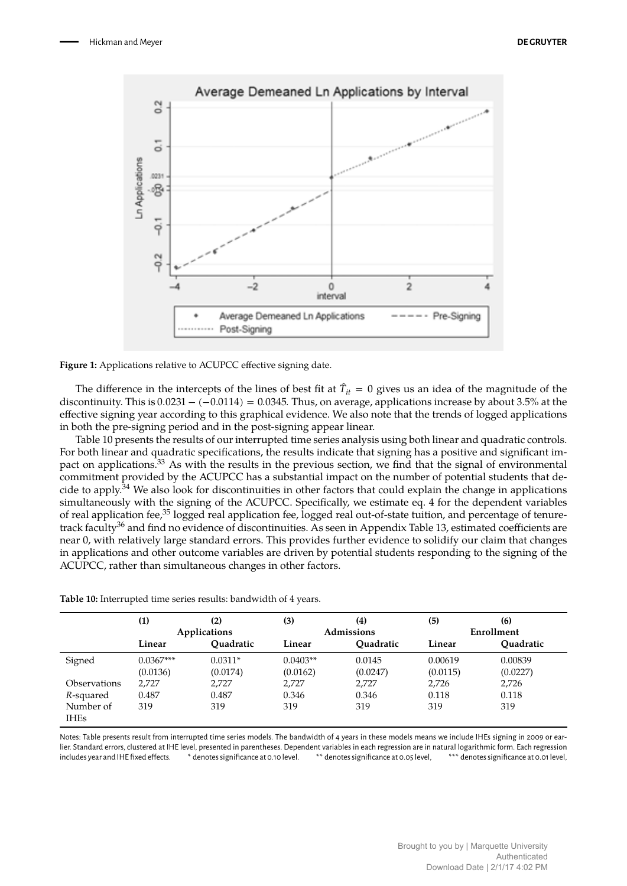



The difference in the intercepts of the lines of best fit at  $\hat{T}_{it} = 0$  gives us an idea of the magnitude of the discontinuity. This is  $0.0231 - (-0.0114) = 0.0345$ . Thus, on average, applications increase by about 3.5% at the effective signing year according to this graphical evidence. We also note that the trends of logged applications in both the pre-signing period and in the post-signing appear linear.

Table 10 presents the results of our interrupted time series analysis using both linear and quadratic controls. For both linear and quadratic specifications, the results indicate that signing has a positive and significant impact on applications.<sup>33</sup> As with the results in the previous section, we find that the signal of environmental commitment provided by the ACUPCC has a substantial impact on the number of potential students that decide to apply. $34$  We also look for discontinuities in other factors that could explain the change in applications simultaneously with the signing of the ACUPCC. Specifically, we estimate eq. 4 for the dependent variables of real application fee,<sup>35</sup> logged real application fee, logged real out-of-state tuition, and percentage of tenuretrack faculty<sup>36</sup> and find no evidence of discontinuities. As seen in Appendix Table 13, estimated coefficients are near 0, with relatively large standard errors. This provides further evidence to solidify our claim that changes in applications and other outcome variables are driven by potential students responding to the signing of the ACUPCC, rather than simultaneous changes in other factors.

|                            | $\left( 1\right)$       | (2)                   | (3)                    | (4)                | (5)                 | (6)                 |  |
|----------------------------|-------------------------|-----------------------|------------------------|--------------------|---------------------|---------------------|--|
|                            |                         | Applications          |                        | <b>Admissions</b>  |                     | Enrollment          |  |
|                            | Linear                  | Ouadratic             | Linear                 | Ouadratic          | Linear              | Ouadratic           |  |
| Signed                     | $0.0367***$<br>(0.0136) | $0.0311*$<br>(0.0174) | $0.0403**$<br>(0.0162) | 0.0145<br>(0.0247) | 0.00619<br>(0.0115) | 0.00839<br>(0.0227) |  |
| <i><b>Observations</b></i> | 2,727                   | 2,727                 | 2,727                  | 2,727              | 2,726               | 2,726               |  |
| R-squared                  | 0.487                   | 0.487                 | 0.346                  | 0.346              | 0.118               | 0.118               |  |
| Number of<br><b>IHEs</b>   | 319                     | 319                   | 319                    | 319                | 319                 | 319                 |  |

**Table 10:** Interrupted time series results: bandwidth of 4 years.

Notes: Table presents result from interrupted time series models. The bandwidth of 4 years in these models means we include IHEs signing in 2009 or earlier. Standard errors, clustered at IHE level, presented in parentheses. Dependent variables in each regression are in natural logarithmic form. Each regression includes year and IHE fixed effects. \* denotes significance at 0.10 level. \*\* denotes significance at 0.05 level, \*\*\* denotes significance at 0.01 level,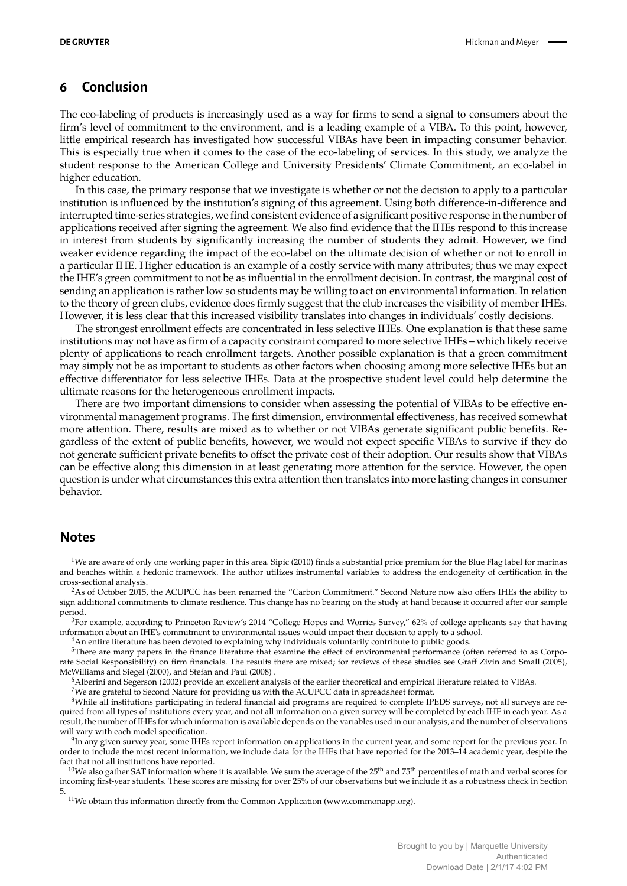# **6 Conclusion**

The eco-labeling of products is increasingly used as a way for firms to send a signal to consumers about the firm's level of commitment to the environment, and is a leading example of a VIBA. To this point, however, little empirical research has investigated how successful VIBAs have been in impacting consumer behavior. This is especially true when it comes to the case of the eco-labeling of services. In this study, we analyze the student response to the American College and University Presidents' Climate Commitment, an eco-label in higher education.

In this case, the primary response that we investigate is whether or not the decision to apply to a particular institution is influenced by the institution's signing of this agreement. Using both difference-in-difference and interrupted time-series strategies, we find consistent evidence of a significant positive response in the number of applications received after signing the agreement. We also find evidence that the IHEs respond to this increase in interest from students by significantly increasing the number of students they admit. However, we find weaker evidence regarding the impact of the eco-label on the ultimate decision of whether or not to enroll in a particular IHE. Higher education is an example of a costly service with many attributes; thus we may expect the IHE's green commitment to not be as influential in the enrollment decision. In contrast, the marginal cost of sending an application is rather low so students may be willing to act on environmental information. In relation to the theory of green clubs, evidence does firmly suggest that the club increases the visibility of member IHEs. However, it is less clear that this increased visibility translates into changes in individuals' costly decisions.

The strongest enrollment effects are concentrated in less selective IHEs. One explanation is that these same institutions may not have as firm of a capacity constraint compared to more selective IHEs – which likely receive plenty of applications to reach enrollment targets. Another possible explanation is that a green commitment may simply not be as important to students as other factors when choosing among more selective IHEs but an effective differentiator for less selective IHEs. Data at the prospective student level could help determine the ultimate reasons for the heterogeneous enrollment impacts.

There are two important dimensions to consider when assessing the potential of VIBAs to be effective environmental management programs. The first dimension, environmental effectiveness, has received somewhat more attention. There, results are mixed as to whether or not VIBAs generate significant public benefits. Regardless of the extent of public benefits, however, we would not expect specific VIBAs to survive if they do not generate sufficient private benefits to offset the private cost of their adoption. Our results show that VIBAs can be effective along this dimension in at least generating more attention for the service. However, the open question is under what circumstances this extra attention then translates into more lasting changes in consumer behavior.

### **Notes**

 $1$ We are aware of only one working paper in this area. Sipic (2010) finds a substantial price premium for the Blue Flag label for marinas and beaches within a hedonic framework. The author utilizes instrumental variables to address the endogeneity of certification in the cross-sectional analysis.

<sup>2</sup>As of October 2015, the ACUPCC has been renamed the "Carbon Commitment." Second Nature now also offers IHEs the ability to sign additional commitments to climate resilience. This change has no bearing on the study at hand because it occurred after our sample period.

 ${}^{3}$ For example, according to Princeton Review's 2014 "College Hopes and Worries Survey," 62% of college applicants say that having information about an IHE's commitment to environmental issues would impact their decision to apply to a school.

<sup>4</sup>An entire literature has been devoted to explaining why individuals voluntarily contribute to public goods.

<sup>5</sup>There are many papers in the finance literature that examine the effect of environmental performance (often referred to as Corporate Social Responsibility) on firm financials. The results there are mixed; for reviews of these studies see Graff Zivin and Small (2005), McWilliams and Siegel (2000), and Stefan and Paul (2008) .

<sup>6</sup>Alberini and Segerson (2002) provide an excellent analysis of the earlier theoretical and empirical literature related to VIBAs.

<sup>7</sup>We are grateful to Second Nature for providing us with the ACUPCC data in spreadsheet format.

<sup>8</sup>While all institutions participating in federal financial aid programs are required to complete IPEDS surveys, not all surveys are required from all types of institutions every year, and not all information on a given survey will be completed by each IHE in each year. As a result, the number of IHEs for which information is available depends on the variables used in our analysis, and the number of observations will vary with each model specification.

 $^{9}$ In any given survey year, some IHEs report information on applications in the current year, and some report for the previous year. In order to include the most recent information, we include data for the IHEs that have reported for the 2013–14 academic year, despite the fact that not all institutions have reported.

<sup>10</sup>We also gather SAT information where it is available. We sum the average of the 25<sup>th</sup> and 75<sup>th</sup> percentiles of math and verbal scores for incoming first-year students. These scores are missing for over 25% of our observations but we include it as a robustness check in Section 5.

<sup>11</sup>We obtain this information directly from the Common Application (www.commonapp.org).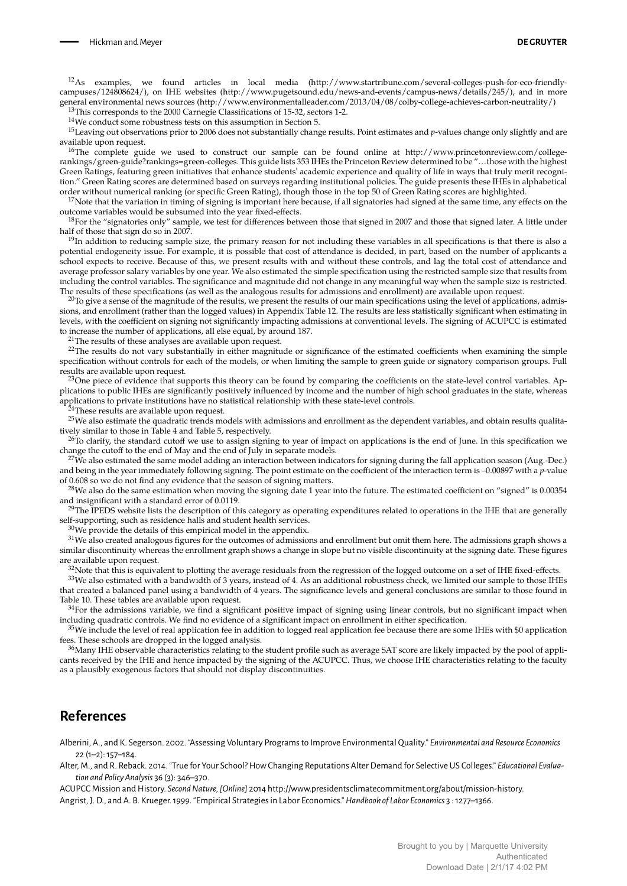<sup>12</sup>As examples, we found articles in local media (http://www.startribune.com/several-colleges-push-for-eco-friendlycampuses/124808624/), on IHE websites (http://www.pugetsound.edu/news-and-events/campus-news/details/245/), and in more general environmental news sources (http://www.environmentalleader.com/2013/04/08/colby-college-achieves-carbon-neutrality/) <sup>13</sup>This corresponds to the 2000 Carnegie Classifications of 15-32, sectors 1-2.

<sup>14</sup>We conduct some robustness tests on this assumption in Section 5.

<sup>15</sup>Leaving out observations prior to 2006 does not substantially change results. Point estimates and *p*-values change only slightly and are available upon request.

<sup>16</sup>The complete guide we used to construct our sample can be found online at http://www.princetonreview.com/collegerankings/green-guide?rankings=green-colleges. This guide lists 353 IHEs the Princeton Review determined to be "…those with the highest Green Ratings, featuring green initiatives that enhance students' academic experience and quality of life in ways that truly merit recognition." Green Rating scores are determined based on surveys regarding institutional policies. The guide presents these IHEs in alphabetical order without numerical ranking (or specific Green Rating), though those in the top 50 of Green Rating scores are highlighted.

 $17$ Note that the variation in timing of signing is important here because, if all signatories had signed at the same time, any effects on the outcome variables would be subsumed into the year fixed-effects.

 $18$ For the "signatories only" sample, we test for differences between those that signed in 2007 and those that signed later. A little under half of those that sign do so in 2007.

<sup>19</sup>In addition to reducing sample size, the primary reason for not including these variables in all specifications is that there is also a potential endogeneity issue. For example, it is possible that cost of attendance is decided, in part, based on the number of applicants a school expects to receive. Because of this, we present results with and without these controls, and lag the total cost of attendance and average professor salary variables by one year. We also estimated the simple specification using the restricted sample size that results from including the control variables. The significance and magnitude did not change in any meaningful way when the sample size is restricted. The results of these specifications (as well as the analogous results for admissions and enrollment) are available upon request.

 $^{20}$ To give a sense of the magnitude of the results, we present the results of our main specifications using the level of applications, admissions, and enrollment (rather than the logged values) in Appendix Table 12. The results are less statistically significant when estimating in levels, with the coefficient on signing not significantly impacting admissions at conventional levels. The signing of ACUPCC is estimated to increase the number of applications, all else equal, by around 187.

 $21$ The results of these analyses are available upon request.

 $22$ The results do not vary substantially in either magnitude or significance of the estimated coefficients when examining the simple specification without controls for each of the models, or when limiting the sample to green guide or signatory comparison groups. Full results are available upon request.

 $^{23}$ One piece of evidence that supports this theory can be found by comparing the coefficients on the state-level control variables. Applications to public IHEs are significantly positively influenced by income and the number of high school graduates in the state, whereas applications to private institutions have no statistical relationship with these state-level controls.

<sup>24</sup>These results are available upon request.

<sup>25</sup>We also estimate the quadratic trends models with admissions and enrollment as the dependent variables, and obtain results qualitatively similar to those in Table 4 and Table 5, respectively.

<sup>26</sup>To clarify, the standard cutoff we use to assign signing to year of impact on applications is the end of June. In this specification we change the cutoff to the end of May and the end of July in separate models.

 $27$ We also estimated the same model adding an interaction between indicators for signing during the fall application season (Aug.-Dec.) and being in the year immediately following signing. The point estimate on the coefficient of the interaction term is –0.00897 with a *p*-value of 0.608 so we do not find any evidence that the season of signing matters.

<sup>28</sup>We also do the same estimation when moving the signing date 1 year into the future. The estimated coefficient on "signed" is 0.00354 and insignificant with a standard error of 0.0119.

 $29$ The IPEDS website lists the description of this category as operating expenditures related to operations in the IHE that are generally self-supporting, such as residence halls and student health services.

<sup>30</sup>We provide the details of this empirical model in the appendix.

 $31$ We also created analogous figures for the outcomes of admissions and enrollment but omit them here. The admissions graph shows a similar discontinuity whereas the enrollment graph shows a change in slope but no visible discontinuity at the signing date. These figures are available upon request.

 $32$ Note that this is equivalent to plotting the average residuals from the regression of the logged outcome on a set of IHE fixed-effects.

33We also estimated with a bandwidth of 3 years, instead of 4. As an additional robustness check, we limited our sample to those IHEs that created a balanced panel using a bandwidth of 4 years. The significance levels and general conclusions are similar to those found in Table 10. These tables are available upon request.

 $34$ For the admissions variable, we find a significant positive impact of signing using linear controls, but no significant impact when including quadratic controls. We find no evidence of a significant impact on enrollment in either specification.

<sup>35</sup>We include the level of real application fee in addition to logged real application fee because there are some IHEs with \$0 application fees. These schools are dropped in the logged analysis.

 $36$ Many IHE observable characteristics relating to the student profile such as average SAT score are likely impacted by the pool of applicants received by the IHE and hence impacted by the signing of the ACUPCC. Thus, we choose IHE characteristics relating to the faculty as a plausibly exogenous factors that should not display discontinuities.

## **References**

Alberini, A., and K. Segerson. 2002. "Assessing Voluntary Programs to Improve Environmental Quality." *Environmental and Resource Economics* 22 (1–2): 157–184.

Alter, M., and R. Reback. 2014. "True for Your School? How Changing Reputations Alter Demand for Selective US Colleges." *Educational Evaluation and Policy Analysis* 36 (3): 346–370.

ACUPCC Mission and History. *Second Nature, [Online]* 2014 http://www.presidentsclimatecommitment.org/about/mission-history.

Angrist, J. D., and A. B. Krueger. 1999. "Empirical Strategies in Labor Economics." *Handbook of Labor Economics* 3 : 1277–1366.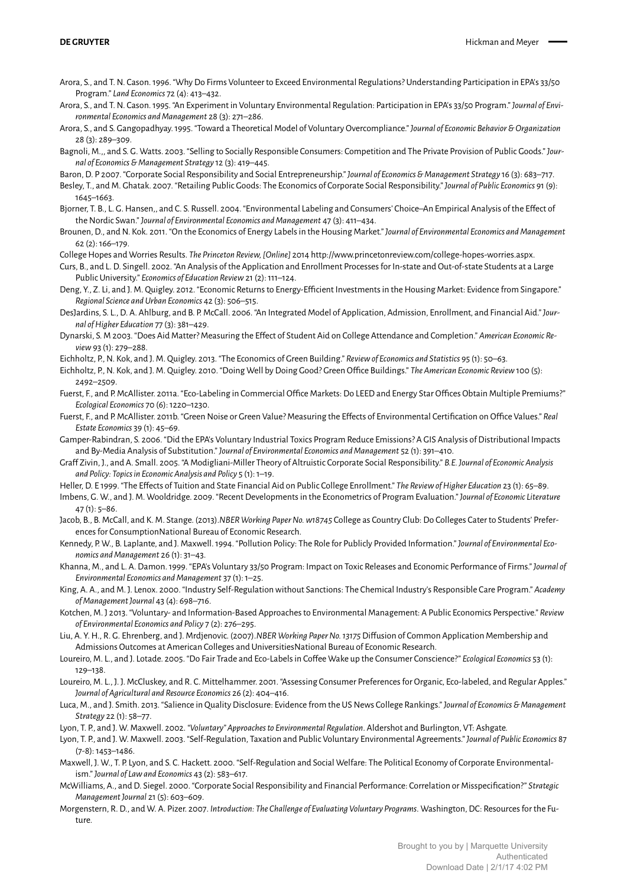- Arora, S., and T. N. Cason. 1996. "Why Do Firms Volunteer to Exceed Environmental Regulations? Understanding Participation in EPA's 33/50 Program."*Land Economics* 72 (4): 413–432.
- Arora, S., and T. N. Cason. 1995. "An Experiment in Voluntary Environmental Regulation: Participation in EPA′s 33/50 Program." *Journal of Environmental Economics and Management* 28 (3): 271–286.
- Arora, S., and S. Gangopadhyay. 1995. "Toward a Theoretical Model of Voluntary Overcompliance." *Journal of Economic Behavior & Organization* 28 (3): 289–309.
- Bagnoli, M.,, and S. G. Watts. 2003. "Selling to Socially Responsible Consumers: Competition and The Private Provision of Public Goods." *Journal of Economics & Management Strategy* 12 (3): 419–445.
- Baron, D. P 2007. "Corporate Social Responsibility and Social Entrepreneurship." *Journal of Economics & Management Strategy* 16 (3): 683–717.
- Besley, T., and M. Ghatak. 2007. "Retailing Public Goods: The Economics of Corporate Social Responsibility." *Journal of Public Economics* 91 (9): 1645–1663.
- Bjorner, T. B., L. G. Hansen,, and C. S. Russell. 2004. "Environmental Labeling and Consumers' Choice–An Empirical Analysis of the Effect of the Nordic Swan." *Journal of Environmental Economics and Management* 47 (3): 411–434.
- Brounen, D., and N. Kok. 2011. "On the Economics of Energy Labels in the Housing Market." *Journal of Environmental Economics and Management*  $62 (2): 166 - 179$
- College Hopes and Worries Results. *The Princeton Review, [Online]* 2014 http://www.princetonreview.com/college-hopes-worries.aspx.
- Curs, B., and L. D. Singell. 2002. "An Analysis of the Application and Enrollment Processes for In-state and Out-of-state Students at a Large Public University." *Economics of Education Review* 21 (2): 111–124.
- Deng, Y., Z. Li, and J. M. Quigley. 2012. "Economic Returns to Energy-Efficient Investments in the Housing Market: Evidence from Singapore." *Regional Science and Urban Economics* 42 (3): 506–515.
- DesJardins, S. L., D. A. Ahlburg, and B. P. McCall. 2006. "An Integrated Model of Application, Admission, Enrollment, and Financial Aid." *Journal of Higher Education* 77 (3): 381–429.
- Dynarski, S. M 2003. "Does Aid Matter? Measuring the Effect of Student Aid on College Attendance and Completion." American Economic Re*view* 93 (1): 279–288.
- Eichholtz, P., N. Kok, and J. M. Quigley. 2013. "The Economics of Green Building." *Review of Economics and Statistics* 95 (1): 50–63.
- Eichholtz, P., N. Kok, and J. M. Quigley. 2010. "Doing Well by Doing Good? Green Office Buildings." The American Economic Review 100 (5): 2492–2509.
- Fuerst, F., and P. McAllister. 2011a. "Eco-Labeling in Commercial Office Markets: Do LEED and Energy Star Offices Obtain Multiple Premiums?" *Ecological Economics* 70 (6): 1220–1230.
- Fuerst, F., and P. McAllister. 2011b. "Green Noise or Green Value? Measuring the Effects of Environmental Certification on Office Values." Real *Estate Economics* 39 (1): 45–69.
- Gamper-Rabindran, S. 2006. "Did the EPA's Voluntary Industrial Toxics Program Reduce Emissions? A GIS Analysis of Distributional Impacts and By-Media Analysis of Substitution." *Journal of Environmental Economics and Management* 52 (1): 391–410.
- Gra昀f Zivin, J., and A. Small. 2005. "A Modigliani-Miller Theory of Altruistic Corporate Social Responsibility." *B.E.Journal of Economic Analysis and Policy: Topics in Economic Analysis and Policy* 5 (1): 1–19.
- Heller, D. E 1999. "The Effects of Tuition and State Financial Aid on Public College Enrollment." The Review of Higher Education 23 (1): 65–89. Imbens, G. W., and J. M. Wooldridge. 2009. "Recent Developments in the Econometrics of Program Evaluation." *Journal of Economic Literature*
- 47 (1): 5–86. Jacob, B., B. McCall, and K. M. Stange. (2013).*NBER Working Paper No. w18745* College as Country Club: Do Colleges Cater to Students' Preferences for ConsumptionNational Bureau of Economic Research.
- Kennedy, P. W., B. Laplante, and J. Maxwell. 1994. "Pollution Policy: The Role for Publicly Provided Information." *Journal of Environmental Economics and Management* 26 (1): 31–43.
- Khanna, M., and L. A. Damon. 1999. "EPA's Voluntary 33/50 Program: Impact on Toxic Releases and Economic Performance of Firms." *Journal of Environmental Economics and Management* 37 (1): 1–25.
- King, A. A., and M. J. Lenox. 2000. "Industry Self-Regulation without Sanctions: The Chemical Industry's Responsible Care Program." *Academy of ManagementJournal* 43 (4): 698–716.
- Kotchen, M. J 2013. "Voluntary- and Information-Based Approaches to Environmental Management: A Public Economics Perspective." *Review of Environmental Economics and Policy* 7 (2): 276–295.
- Liu, A. Y. H., R. G. Ehrenberg, and J. Mrdjenovic. (2007). NBER Working Paper No. 13175 Diffusion of Common Application Membership and Admissions Outcomes at American Colleges and UniversitiesNational Bureau of Economic Research.
- Loureiro, M. L., and J. Lotade. 2005. "Do Fair Trade and Eco-Labels in Coffee Wake up the Consumer Conscience?" *Ecological Economics* 53 (1): 129–138.
- Loureiro, M. L., J. J. McCluskey, and R. C. Mittelhammer. 2001. "Assessing Consumer Preferences for Organic, Eco-labeled, and Regular Apples." *Journal of Agricultural and Resource Economics* 26 (2): 404–416.
- Luca, M., and J. Smith. 2013. "Salience in Quality Disclosure: Evidence from the US News College Rankings." *Journal of Economics & Management Strategy* 22 (1): 58–77.
- Lyon, T. P., and J. W. Maxwell. 2002. *"Voluntary" Approaches to Environmental Regulation*. Aldershot and Burlington, VT: Ashgate.
- Lyon, T. P., and J. W. Maxwell. 2003. "Self-Regulation, Taxation and Public Voluntary Environmental Agreements." *Journal of Public Economics* 87 (7-8): 1453–1486.
- Maxwell, J. W., T. P. Lyon, and S. C. Hackett. 2000. "Self-Regulation and Social Welfare: The Political Economy of Corporate Environmentalism." *Journal of Law and Economics* 43 (2): 583–617.
- McWilliams, A., and D. Siegel. 2000. "Corporate Social Responsibility and Financial Performance: Correlation or Misspecification?" *Strategic ManagementJournal* 21 (5): 603–609.
- Morgenstern, R. D., and W. A. Pizer. 2007. *Introduction: The Challenge of Evaluating Voluntary Programs*. Washington, DC: Resources for the Future.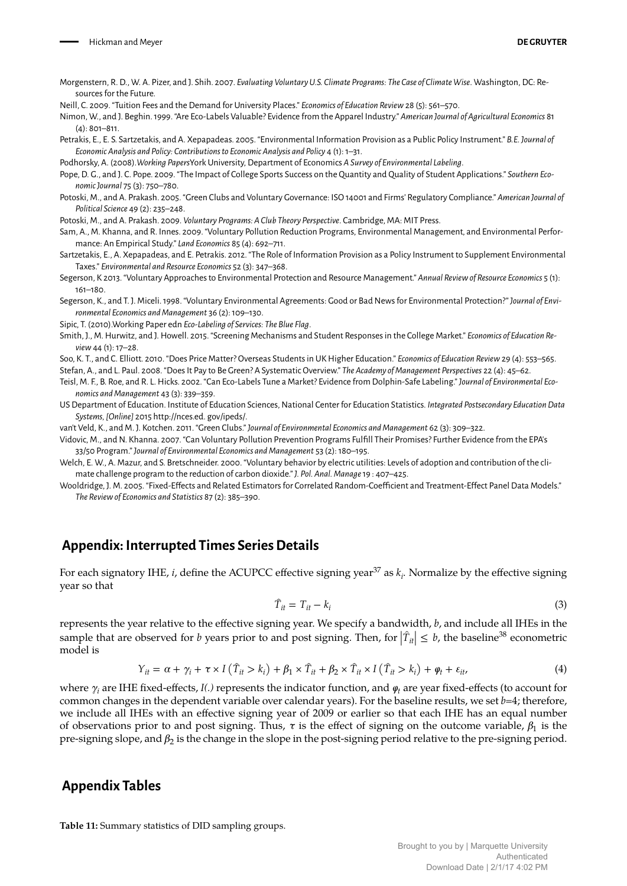- Morgenstern, R. D., W. A. Pizer, and J. Shih. 2007. *Evaluating Voluntary U.S. Climate Programs: The Case of Climate Wise*. Washington, DC: Resources for the Future.
- Neill, C. 2009. "Tuition Fees and the Demand for University Places." *Economics of Education Review* 28 (5): 561–570.
- Nimon, W., and J. Beghin. 1999. "Are Eco-Labels Valuable? Evidence from the Apparel Industry." *AmericanJournal of Agricultural Economics* 81 (4): 801–811.
- Petrakis, E., E. S. Sartzetakis, and A. Xepapadeas. 2005. "Environmental Information Provision as a Public Policy Instrument." *B.E.Journal of Economic Analysis and Policy: Contributions to Economic Analysis and Policy* 4 (1): 1–31.

Podhorsky, A. (2008).*Working Papers*York University, Department of Economics *A Survey of Environmental Labeling*.

- Pope, D. G., and J. C. Pope. 2009. "The Impact of College Sports Success on the Quantity and Quality of Student Applications." *Southern EconomicJournal* 75 (3): 750–780.
- Potoski, M., and A. Prakash. 2005. "Green Clubs and Voluntary Governance: ISO 14001 and Firms' Regulatory Compliance." *AmericanJournal of Political Science* 49 (2): 235–248.
- Potoski, M., and A. Prakash. 2009. *Voluntary Programs: A Club Theory Perspective*. Cambridge, MA: MIT Press.
- Sam, A., M. Khanna, and R. Innes. 2009. "Voluntary Pollution Reduction Programs, Environmental Management, and Environmental Performance: An Empirical Study."*Land Economics* 85 (4): 692–711.
- Sartzetakis, E., A. Xepapadeas, and E. Petrakis. 2012. "The Role of Information Provision as a Policy Instrument to Supplement Environmental Taxes." *Environmental and Resource Economics* 52 (3): 347–368.
- Segerson, K 2013. "Voluntary Approaches to Environmental Protection and Resource Management." *Annual Review of Resource Economics* 5 (1): 161–180.
- Segerson, K., and T. J. Miceli. 1998. "Voluntary Environmental Agreements: Good or Bad News for Environmental Protection?" *Journal of Environmental Economics and Management* 36 (2): 109–130.
- Sipic, T. (2010).Working Paper edn *Eco-Labeling of Services: The Blue Flag*.
- Smith, J., M. Hurwitz, and J. Howell. 2015. "Screening Mechanisms and Student Responses in the College Market." *Economics of Education Review* 44 (1): 17–28.
- Soo, K. T., and C. Elliott. 2010. "Does Price Matter? Overseas Students in UK Higher Education." *Economics of Education Review* 29 (4): 553–565.
- Stefan, A., and L. Paul. 2008. "Does It Pay to Be Green? A Systematic Overview." *The Academy of Management Perspectives* 22 (4): 45–62.
- Teisl, M. F., B. Roe, and R. L. Hicks. 2002. "Can Eco-Labels Tune a Market? Evidence from Dolphin-Safe Labeling." *Journal of Environmental Economics and Management* 43 (3): 339–359.
- US Department of Education. Institute of Education Sciences, National Center for Education Statistics. *Integrated Postsecondary Education Data Systems, [Online]* 2015 http://nces.ed. gov/ipeds/.
- van't Veld, K., and M. J. Kotchen. 2011. "Green Clubs." *Journal of Environmental Economics and Management* 62 (3): 309–322.
- Vidovic, M., and N. Khanna. 2007. "Can Voluntary Pollution Prevention Programs Fulfill Their Promises? Further Evidence from the EPA's 33/50 Program." *Journal of Environmental Economics and Management* 53 (2): 180–195.
- Welch, E. W., A. Mazur, and S. Bretschneider. 2000. "Voluntary behavior by electric utilities: Levels of adoption and contribution of the climate challenge program to the reduction of carbon dioxide." *J. Pol. Anal. Manage*19 : 407–425.
- Wooldridge, J. M. 2005. "Fixed-Effects and Related Estimators for Correlated Random-Coefficient and Treatment-Effect Panel Data Models." *The Review of Economics and Statistics* 87 (2): 385–390.

## **Appendix: Interrupted Times Series Details**

For each signatory IHE, *i*, define the ACUPCC effective signing year $^{37}$  as  $k_i$ . Normalize by the effective signing year so that

$$
\hat{T}_{it} = T_{it} - k_i \tag{3}
$$

represents the year relative to the effective signing year. We specify a bandwidth, *b*, and include all IHEs in the sample that are observed for *b* years prior to and post signing. Then, for  $|\hat{T}_{it}| \leq b$ , the baseline<sup>38</sup> econometric model is

$$
Y_{it} = \alpha + \gamma_i + \tau \times I(\hat{T}_{it} > k_i) + \beta_1 \times \hat{T}_{it} + \beta_2 \times \hat{T}_{it} \times I(\hat{T}_{it} > k_i) + \varphi_t + \varepsilon_{it},\tag{4}
$$

where *γ<sup>i</sup>* are IHE fixed-effects, *I(.)* represents the indicator function, and *φ<sup>t</sup>* are year fixed-effects (to account for common changes in the dependent variable over calendar years). For the baseline results, we set *b*=4; therefore, we include all IHEs with an effective signing year of 2009 or earlier so that each IHE has an equal number of observations prior to and post signing. Thus,  $\tau$  is the effect of signing on the outcome variable,  $\beta_1$  is the pre-signing slope, and  $\beta_2$  is the change in the slope in the post-signing period relative to the pre-signing period.

## **Appendix Tables**

**Table 11:** Summary statistics of DID sampling groups.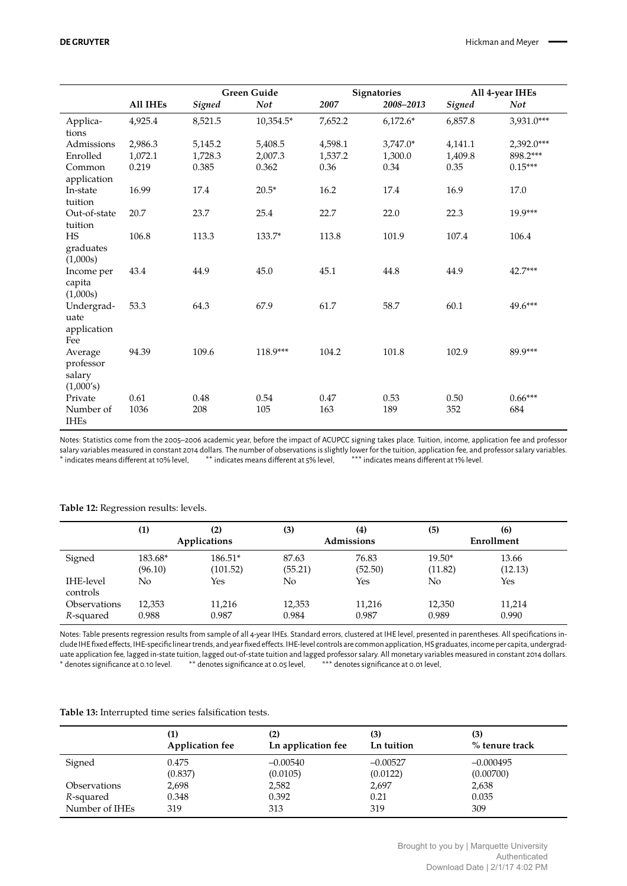|                                             |                 |               | <b>Green Guide</b> |             | <b>Signatories</b> |             | All 4-year IHEs  |
|---------------------------------------------|-----------------|---------------|--------------------|-------------|--------------------|-------------|------------------|
|                                             | <b>All IHEs</b> | <b>Signed</b> | <b>Not</b>         | 2007        | 2008-2013          | Signed      | <b>Not</b>       |
| Applica-<br>tions                           | 4,925.4         | 8,521.5       | 10,354.5*          | 7,652.2     | $6,172.6*$         | 6,857.8     | 3,931.0***       |
| <b>Admissions</b>                           | 2,986.3         | 5,145.2       | 5,408.5            | 4,598.1     | 3,747.0*           | 4,141.1     | 2,392.0***       |
| Enrolled                                    | 1,072.1         | 1,728.3       | 2,007.3            | 1,537.2     | 1,300.0            | 1,409.8     | 898.2***         |
| Common<br>application                       | 0.219           | 0.385         | 0.362              | 0.36        | 0.34               | 0.35        | $0.15***$        |
| In-state<br>tuition                         | 16.99           | 17.4          | $20.5*$            | 16.2        | 17.4               | 16.9        | 17.0             |
| Out-of-state<br>tuition                     | 20.7            | 23.7          | 25.4               | 22.7        | 22.0               | 22.3        | 19.9***          |
| <b>HS</b><br>graduates<br>(1,000s)          | 106.8           | 113.3         | 133.7*             | 113.8       | 101.9              | 107.4       | 106.4            |
| Income per<br>capita<br>(1,000s)            | 43.4            | 44.9          | 45.0               | 45.1        | 44.8               | 44.9        | 42.7***          |
| Undergrad-<br>uate<br>application<br>Fee    | 53.3            | 64.3          | 67.9               | 61.7        | 58.7               | 60.1        | 49.6***          |
| Average<br>professor<br>salary<br>(1,000's) | 94.39           | 109.6         | 118.9***           | 104.2       | 101.8              | 102.9       | 89.9***          |
| Private<br>Number of<br><b>IHEs</b>         | 0.61<br>1036    | 0.48<br>208   | 0.54<br>105        | 0.47<br>163 | 0.53<br>189        | 0.50<br>352 | $0.66***$<br>684 |

Notes: Statistics come from the 2005–2006 academic year, before the impact of ACUPCC signing takes place. Tuition, income, application fee and professor salary variables measured in constant 2014 dollars. The number of observations is slightly lower for the tuition, application fee, and professor salary variables.<br>\* indicates means different at 10% level, \*\* indicates mean \* indicates means different at 10% level, indicates means di昀ferent at 10% level, ∗∗ indicates means di昀ferent at 5% level, ∗∗∗ indicates means di昀ferent at 1% level.

#### **Table 12:** Regression results: levels.

|                              | $\left( 1\right)$  | (2)                   | (3)              | (4)               | (5)                 | (6)              |  |
|------------------------------|--------------------|-----------------------|------------------|-------------------|---------------------|------------------|--|
|                              | Applications       |                       |                  | <b>Admissions</b> |                     | Enrollment       |  |
| Signed                       | 183.68*<br>(96.10) | $186.51*$<br>(101.52) | 87.63<br>(55.21) | 76.83<br>(52.50)  | $19.50*$<br>(11.82) | 13.66<br>(12.13) |  |
| <b>IHE-level</b><br>controls | No                 | Yes                   | No               | Yes               | No                  | Yes              |  |
| Observations<br>R-squared    | 12,353<br>0.988    | 11,216<br>0.987       | 12,353<br>0.984  | 11,216<br>0.987   | 12,350<br>0.989     | 11,214<br>0.990  |  |

Notes: Table presents regression results from sample of all 4-year IHEs. Standard errors, clustered at IHE level, presented in parentheses. All specifications include IHE fixed effects, IHE-specific linear trends, and year fixed effects. IHE-level controls are common application, HS graduates, income per capita, undergraduate application fee, lagged in-state tuition, lagged out-of-state tuition and lagged professor salary. All monetary variables measured in constant 2014 dollars. <sup>∗</sup> denotes significance at 0.10 level. ∗∗ denotes significance at 0.05 level, ∗∗∗ denotes significance at 0.01 level,

**Table 13:** Interrupted time series falsification tests.

|                             | $\left( 1\right)$ | (2)                | (3)        | (3)              |
|-----------------------------|-------------------|--------------------|------------|------------------|
|                             | Application fee   | Ln application fee | Ln tuition | $%$ tenure track |
| Signed                      | 0.475             | $-0.00540$         | $-0.00527$ | $-0.000495$      |
|                             | (0.837)           | (0.0105)           | (0.0122)   | (0.00700)        |
| <b>Observations</b>         | 2,698             | 2,582              | 2,697      | 2,638            |
|                             | 0.348             | 0.392              | 0.21       | 0.035            |
| R-squared<br>Number of IHEs | 319               | 313                | 319        | 309              |